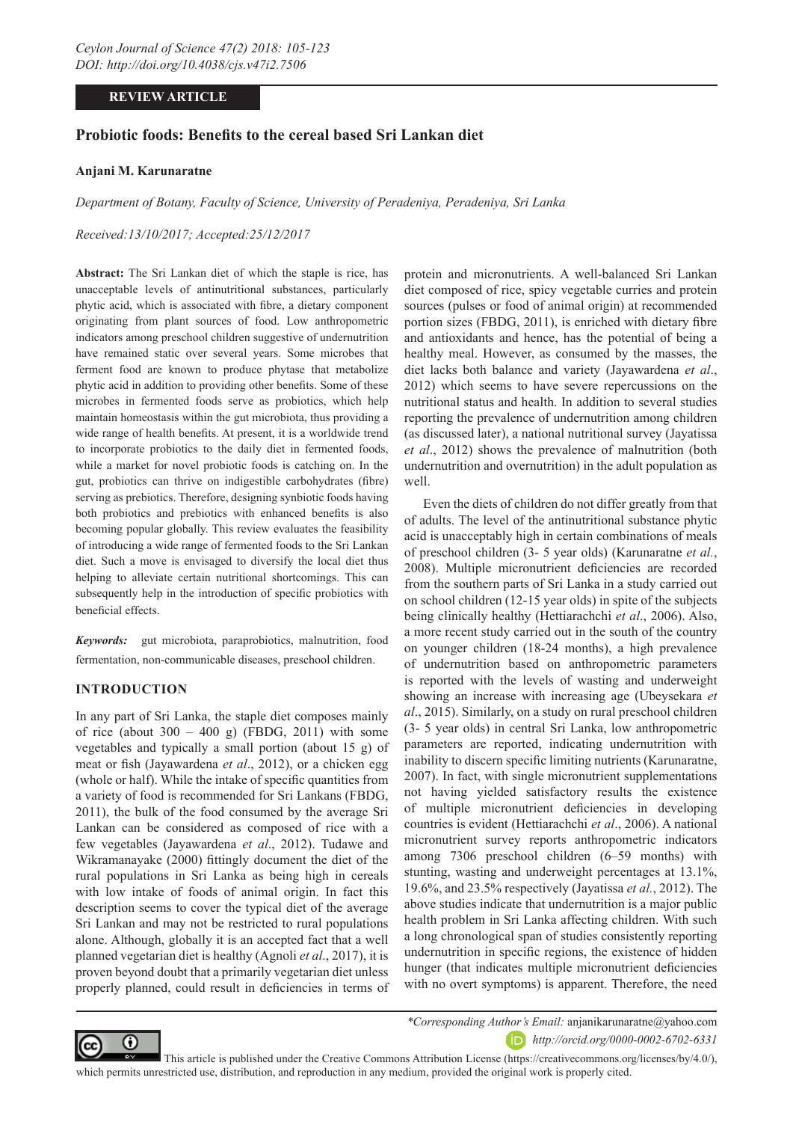# **REVIEW ARTICLE**

## **Probiotic foods: Benefits to the cereal based Sri Lankan diet**

#### **Anjani M. Karunaratne**

*Department of Botany, Faculty of Science, University of Peradeniya, Peradeniya, Sri Lanka*

*Received:13/10/2017; Accepted:25/12/2017*

**Abstract:** The Sri Lankan diet of which the staple is rice, has unacceptable levels of antinutritional substances, particularly phytic acid, which is associated with fibre, a dietary component originating from plant sources of food. Low anthropometric indicators among preschool children suggestive of undernutrition have remained static over several years. Some microbes that ferment food are known to produce phytase that metabolize phytic acid in addition to providing other benefits. Some of these microbes in fermented foods serve as probiotics, which help maintain homeostasis within the gut microbiota, thus providing a wide range of health benefits. At present, it is a worldwide trend to incorporate probiotics to the daily diet in fermented foods, while a market for novel probiotic foods is catching on. In the gut, probiotics can thrive on indigestible carbohydrates (fibre) serving as prebiotics. Therefore, designing synbiotic foods having both probiotics and prebiotics with enhanced benefits is also becoming popular globally. This review evaluates the feasibility of introducing a wide range of fermented foods to the Sri Lankan diet. Such a move is envisaged to diversify the local diet thus helping to alleviate certain nutritional shortcomings. This can subsequently help in the introduction of specific probiotics with beneficial effects.

*Keywords:* gut microbiota, paraprobiotics, malnutrition, food fermentation, non-communicable diseases, preschool children.

### **INTRODUCTION**

In any part of Sri Lanka, the staple diet composes mainly of rice (about  $300 - 400$  g) (FBDG, 2011) with some vegetables and typically a small portion (about 15 g) of meat or fish (Jayawardena *et al*., 2012), or a chicken egg (whole or half). While the intake of specific quantities from a variety of food is recommended for Sri Lankans (FBDG, 2011), the bulk of the food consumed by the average Sri Lankan can be considered as composed of rice with a few vegetables (Jayawardena *et al*., 2012). Tudawe and Wikramanayake (2000) fittingly document the diet of the rural populations in Sri Lanka as being high in cereals with low intake of foods of animal origin. In fact this description seems to cover the typical diet of the average Sri Lankan and may not be restricted to rural populations alone. Although, globally it is an accepted fact that a well planned vegetarian diet is healthy (Agnoli *et al*., 2017), it is proven beyond doubt that a primarily vegetarian diet unless properly planned, could result in deficiencies in terms of protein and micronutrients. A well-balanced Sri Lankan diet composed of rice, spicy vegetable curries and protein sources (pulses or food of animal origin) at recommended portion sizes (FBDG, 2011), is enriched with dietary fibre and antioxidants and hence, has the potential of being a healthy meal. However, as consumed by the masses, the diet lacks both balance and variety (Jayawardena *et al*., 2012) which seems to have severe repercussions on the nutritional status and health. In addition to several studies reporting the prevalence of undernutrition among children (as discussed later), a national nutritional survey (Jayatissa *et al*., 2012) shows the prevalence of malnutrition (both undernutrition and overnutrition) in the adult population as well.

Even the diets of children do not differ greatly from that of adults. The level of the antinutritional substance phytic acid is unacceptably high in certain combinations of meals of preschool children (3- 5 year olds) (Karunaratne *et al.*, 2008). Multiple micronutrient deficiencies are recorded from the southern parts of Sri Lanka in a study carried out on school children (12-15 year olds) in spite of the subjects being clinically healthy (Hettiarachchi *et al*., 2006). Also, a more recent study carried out in the south of the country on younger children (18-24 months), a high prevalence of undernutrition based on anthropometric parameters is reported with the levels of wasting and underweight showing an increase with increasing age (Ubeysekara *et al*., 2015). Similarly, on a study on rural preschool children (3- 5 year olds) in central Sri Lanka, low anthropometric parameters are reported, indicating undernutrition with inability to discern specific limiting nutrients (Karunaratne, 2007). In fact, with single micronutrient supplementations not having yielded satisfactory results the existence of multiple micronutrient deficiencies in developing countries is evident (Hettiarachchi *et al*., 2006). A national micronutrient survey reports anthropometric indicators among 7306 preschool children (6–59 months) with stunting, wasting and underweight percentages at 13.1%, 19.6%, and 23.5% respectively (Jayatissa *et al.*, 2012). The above studies indicate that undernutrition is a major public health problem in Sri Lanka affecting children. With such a long chronological span of studies consistently reporting undernutrition in specific regions, the existence of hidden hunger (that indicates multiple micronutrient deficiencies with no overt symptoms) is apparent. Therefore, the need



*\*Corresponding Author's Email:* anjanikarunaratne@yahoo.com *http://orcid.org/0000-0002-6702-6331*

 This article is published under the Creative Commons Attribution License (https://creativecommons.org/licenses/by/4.0/), which permits unrestricted use, distribution, and reproduction in any medium, provided the original work is properly cited.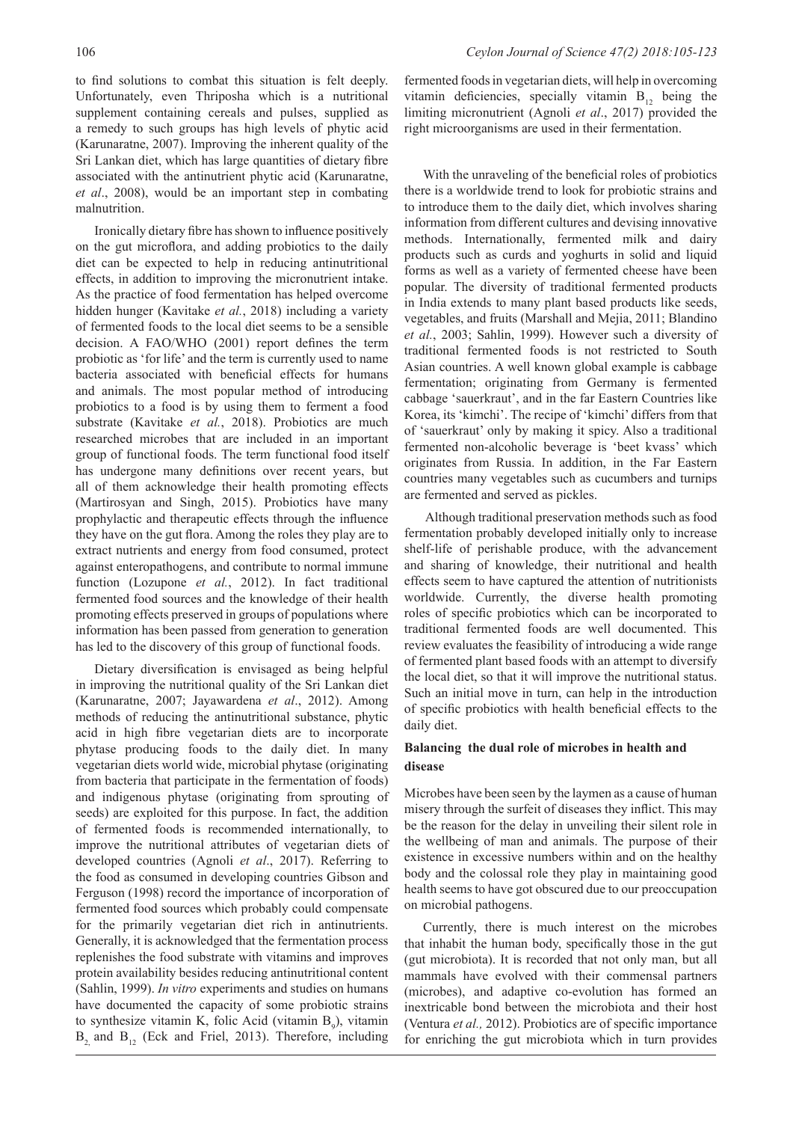to find solutions to combat this situation is felt deeply. Unfortunately, even Thriposha which is a nutritional supplement containing cereals and pulses, supplied as a remedy to such groups has high levels of phytic acid (Karunaratne, 2007). Improving the inherent quality of the Sri Lankan diet, which has large quantities of dietary fibre associated with the antinutrient phytic acid (Karunaratne, *et al*., 2008), would be an important step in combating malnutrition.

Ironically dietary fibre has shown to influence positively on the gut microflora, and adding probiotics to the daily diet can be expected to help in reducing antinutritional effects, in addition to improving the micronutrient intake. As the practice of food fermentation has helped overcome hidden hunger (Kavitake *et al.*, 2018) including a variety of fermented foods to the local diet seems to be a sensible decision. A FAO/WHO (2001) report defines the term probiotic as 'for life' and the term is currently used to name bacteria associated with beneficial effects for humans and animals. The most popular method of introducing probiotics to a food is by using them to ferment a food substrate (Kavitake *et al.*, 2018). Probiotics are much researched microbes that are included in an important group of functional foods. The term functional food itself has undergone many definitions over recent years, but all of them acknowledge their health promoting effects (Martirosyan and Singh, 2015). Probiotics have many prophylactic and therapeutic effects through the influence they have on the gut flora. Among the roles they play are to extract nutrients and energy from food consumed, protect against enteropathogens, and contribute to normal immune function (Lozupone *et al.*, 2012). In fact traditional fermented food sources and the knowledge of their health promoting effects preserved in groups of populations where information has been passed from generation to generation has led to the discovery of this group of functional foods.

Dietary diversification is envisaged as being helpful in improving the nutritional quality of the Sri Lankan diet (Karunaratne, 2007; Jayawardena *et al*., 2012). Among methods of reducing the antinutritional substance, phytic acid in high fibre vegetarian diets are to incorporate phytase producing foods to the daily diet. In many vegetarian diets world wide, microbial phytase (originating from bacteria that participate in the fermentation of foods) and indigenous phytase (originating from sprouting of seeds) are exploited for this purpose. In fact, the addition of fermented foods is recommended internationally, to improve the nutritional attributes of vegetarian diets of developed countries (Agnoli *et al*., 2017). Referring to the food as consumed in developing countries Gibson and Ferguson (1998) record the importance of incorporation of fermented food sources which probably could compensate for the primarily vegetarian diet rich in antinutrients. Generally, it is acknowledged that the fermentation process replenishes the food substrate with vitamins and improves protein availability besides reducing antinutritional content (Sahlin, 1999). *In vitro* experiments and studies on humans have documented the capacity of some probiotic strains to synthesize vitamin K, folic Acid (vitamin  $B_9$ ), vitamin  $B_2$ , and  $B_{12}$  (Eck and Friel, 2013). Therefore, including

fermented foods in vegetarian diets, will help in overcoming vitamin deficiencies, specially vitamin  $B_{12}$  being the limiting micronutrient (Agnoli *et al*., 2017) provided the right microorganisms are used in their fermentation.

With the unraveling of the beneficial roles of probiotics there is a worldwide trend to look for probiotic strains and to introduce them to the daily diet, which involves sharing information from different cultures and devising innovative methods. Internationally, fermented milk and dairy products such as curds and yoghurts in solid and liquid forms as well as a variety of fermented cheese have been popular. The diversity of traditional fermented products in India extends to many plant based products like seeds, vegetables, and fruits (Marshall and Mejia, 2011; Blandino *et al.*, 2003; Sahlin, 1999). However such a diversity of traditional fermented foods is not restricted to South Asian countries. A well known global example is cabbage fermentation; originating from Germany is fermented cabbage 'sauerkraut', and in the far Eastern Countries like Korea, its 'kimchi'. The recipe of 'kimchi' differs from that of 'sauerkraut' only by making it spicy. Also a traditional fermented non-alcoholic beverage is 'beet kvass' which originates from Russia. In addition, in the Far Eastern countries many vegetables such as cucumbers and turnips are fermented and served as pickles.

 Although traditional preservation methods such as food fermentation probably developed initially only to increase shelf-life of perishable produce, with the advancement and sharing of knowledge, their nutritional and health effects seem to have captured the attention of nutritionists worldwide. Currently, the diverse health promoting roles of specific probiotics which can be incorporated to traditional fermented foods are well documented. This review evaluates the feasibility of introducing a wide range of fermented plant based foods with an attempt to diversify the local diet, so that it will improve the nutritional status. Such an initial move in turn, can help in the introduction of specific probiotics with health beneficial effects to the daily diet.

### **Balancing the dual role of microbes in health and disease**

Microbes have been seen by the laymen as a cause of human misery through the surfeit of diseases they inflict. This may be the reason for the delay in unveiling their silent role in the wellbeing of man and animals. The purpose of their existence in excessive numbers within and on the healthy body and the colossal role they play in maintaining good health seems to have got obscured due to our preoccupation on microbial pathogens.

Currently, there is much interest on the microbes that inhabit the human body, specifically those in the gut (gut microbiota). It is recorded that not only man, but all mammals have evolved with their commensal partners (microbes), and adaptive co-evolution has formed an inextricable bond between the microbiota and their host (Ventura *et al.,* 2012). Probiotics are of specific importance for enriching the gut microbiota which in turn provides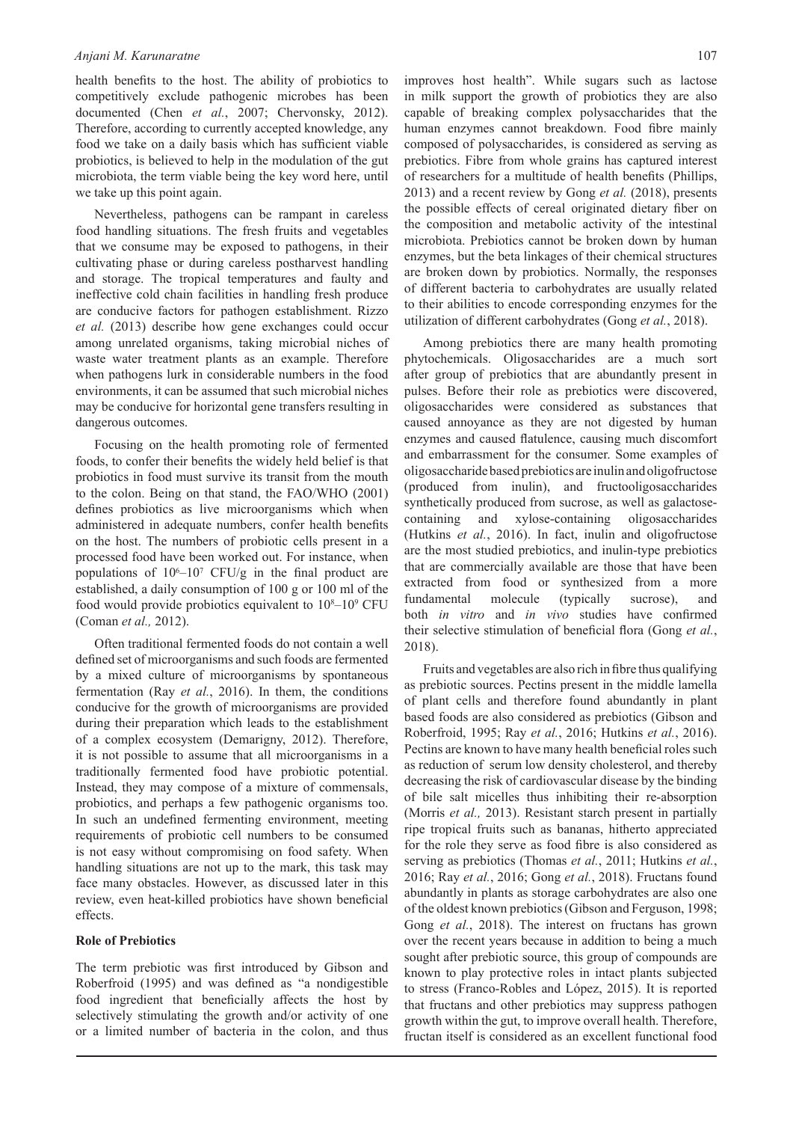#### *Anjani M. Karunaratne*

health benefits to the host. The ability of probiotics to competitively exclude pathogenic microbes has been documented (Chen *et al.*, 2007; Chervonsky, 2012). Therefore, according to currently accepted knowledge, any food we take on a daily basis which has sufficient viable probiotics, is believed to help in the modulation of the gut microbiota, the term viable being the key word here, until we take up this point again.

Nevertheless, pathogens can be rampant in careless food handling situations. The fresh fruits and vegetables that we consume may be exposed to pathogens, in their cultivating phase or during careless postharvest handling and storage. The tropical temperatures and faulty and ineffective cold chain facilities in handling fresh produce are conducive factors for pathogen establishment. Rizzo *et al.* (2013) describe how gene exchanges could occur among unrelated organisms, taking microbial niches of waste water treatment plants as an example. Therefore when pathogens lurk in considerable numbers in the food environments, it can be assumed that such microbial niches may be conducive for horizontal gene transfers resulting in dangerous outcomes.

Focusing on the health promoting role of fermented foods, to confer their benefits the widely held belief is that probiotics in food must survive its transit from the mouth to the colon. Being on that stand, the FAO/WHO (2001) defines probiotics as live microorganisms which when administered in adequate numbers, confer health benefits on the host. The numbers of probiotic cells present in a processed food have been worked out. For instance, when populations of  $10^6$ - $10^7$  CFU/g in the final product are established, a daily consumption of 100 g or 100 ml of the food would provide probiotics equivalent to  $10<sup>8</sup>-10<sup>9</sup>$  CFU (Coman *et al.,* 2012).

Often traditional fermented foods do not contain a well defined set of microorganisms and such foods are fermented by a mixed culture of microorganisms by spontaneous fermentation (Ray *et al.*, 2016). In them, the conditions conducive for the growth of microorganisms are provided during their preparation which leads to the establishment of a complex ecosystem (Demarigny, 2012). Therefore, it is not possible to assume that all microorganisms in a traditionally fermented food have probiotic potential. Instead, they may compose of a mixture of commensals, probiotics, and perhaps a few pathogenic organisms too. In such an undefined fermenting environment, meeting requirements of probiotic cell numbers to be consumed is not easy without compromising on food safety. When handling situations are not up to the mark, this task may face many obstacles. However, as discussed later in this review, even heat-killed probiotics have shown beneficial effects.

### **Role of Prebiotics**

The term prebiotic was first introduced by Gibson and Roberfroid (1995) and was defined as "a nondigestible food ingredient that beneficially affects the host by selectively stimulating the growth and/or activity of one or a limited number of bacteria in the colon, and thus

improves host health". While sugars such as lactose in milk support the growth of probiotics they are also capable of breaking complex polysaccharides that the human enzymes cannot breakdown. Food fibre mainly composed of polysaccharides, is considered as serving as prebiotics. Fibre from whole grains has captured interest of researchers for a multitude of health benefits (Phillips, 2013) and a recent review by Gong *et al.* (2018), presents the possible effects of cereal originated dietary fiber on the composition and metabolic activity of the intestinal microbiota. Prebiotics cannot be broken down by human enzymes, but the beta linkages of their chemical structures are broken down by probiotics. Normally, the responses of different bacteria to carbohydrates are usually related to their abilities to encode corresponding enzymes for the utilization of different carbohydrates (Gong *et al.*, 2018).

Among prebiotics there are many health promoting phytochemicals. Oligosaccharides are a much sort after group of prebiotics that are abundantly present in pulses. Before their role as prebiotics were discovered, oligosaccharides were considered as substances that caused annoyance as they are not digested by human enzymes and caused flatulence, causing much discomfort and embarrassment for the consumer. Some examples of oligosaccharide based prebiotics are inulin and oligofructose (produced from inulin), and fructooligosaccharides synthetically produced from sucrose, as well as galactosecontaining and xylose-containing oligosaccharides (Hutkins *et al.*, 2016). In fact, inulin and oligofructose are the most studied prebiotics, and inulin-type prebiotics that are commercially available are those that have been extracted from food or synthesized from a more fundamental molecule (typically sucrose), and both *in vitro* and *in vivo* studies have confirmed their selective stimulation of beneficial flora (Gong *et al.*, 2018).

Fruits and vegetables are also rich in fibre thus qualifying as prebiotic sources. Pectins present in the middle lamella of plant cells and therefore found abundantly in plant based foods are also considered as prebiotics (Gibson and Roberfroid, 1995; Ray *et al.*, 2016; Hutkins *et al.*, 2016). Pectins are known to have many health beneficial roles such as reduction of serum low density cholesterol, and thereby decreasing the risk of cardiovascular disease by the binding of bile salt micelles thus inhibiting their re-absorption (Morris *et al.,* 2013). Resistant starch present in partially ripe tropical fruits such as bananas, hitherto appreciated for the role they serve as food fibre is also considered as serving as prebiotics (Thomas *et al.*, 2011; Hutkins *et al.*, 2016; Ray *et al.*, 2016; Gong *et al.*, 2018). Fructans found abundantly in plants as storage carbohydrates are also one of the oldest known prebiotics (Gibson and Ferguson, 1998; Gong *et al.*, 2018). The interest on fructans has grown over the recent years because in addition to being a much sought after prebiotic source, this group of compounds are known to play protective roles in intact plants subjected to stress (Franco-Robles and López, 2015). It is reported that fructans and other prebiotics may suppress pathogen growth within the gut, to improve overall health. Therefore, fructan itself is considered as an excellent functional food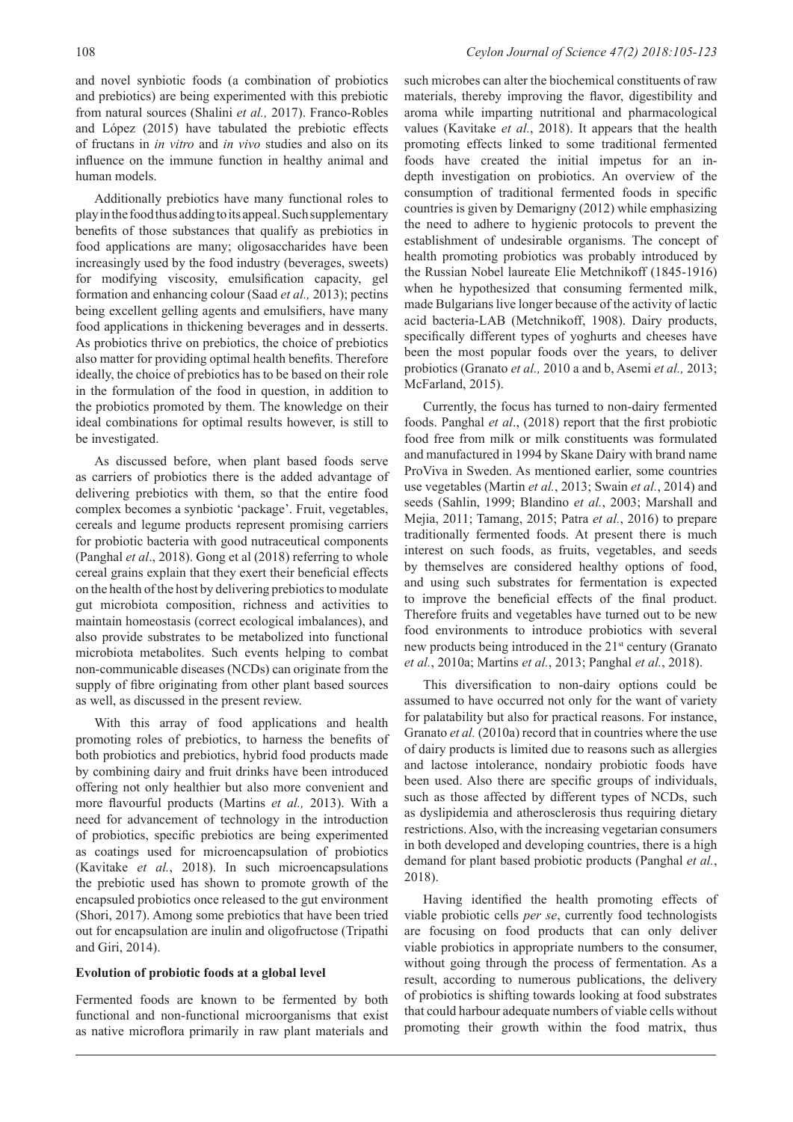and novel synbiotic foods (a combination of probiotics and prebiotics) are being experimented with this prebiotic from natural sources (Shalini *et al.,* 2017). Franco-Robles and López (2015) have tabulated the prebiotic effects of fructans in *in vitro* and *in vivo* studies and also on its influence on the immune function in healthy animal and human models.

Additionally prebiotics have many functional roles to play in the food thus adding to its appeal. Such supplementary benefits of those substances that qualify as prebiotics in food applications are many; oligosaccharides have been increasingly used by the food industry (beverages, sweets) for modifying viscosity, emulsification capacity, gel formation and enhancing colour (Saad *et al.,* 2013); pectins being excellent gelling agents and emulsifiers, have many food applications in thickening beverages and in desserts. As probiotics thrive on prebiotics, the choice of prebiotics also matter for providing optimal health benefits. Therefore ideally, the choice of prebiotics has to be based on their role in the formulation of the food in question, in addition to the probiotics promoted by them. The knowledge on their ideal combinations for optimal results however, is still to be investigated.

As discussed before, when plant based foods serve as carriers of probiotics there is the added advantage of delivering prebiotics with them, so that the entire food complex becomes a synbiotic 'package'. Fruit, vegetables, cereals and legume products represent promising carriers for probiotic bacteria with good nutraceutical components (Panghal *et al*., 2018). Gong et al (2018) referring to whole cereal grains explain that they exert their beneficial effects on the health of the host by delivering prebiotics to modulate gut microbiota composition, richness and activities to maintain homeostasis (correct ecological imbalances), and also provide substrates to be metabolized into functional microbiota metabolites. Such events helping to combat non-communicable diseases (NCDs) can originate from the supply of fibre originating from other plant based sources as well, as discussed in the present review.

With this array of food applications and health promoting roles of prebiotics, to harness the benefits of both probiotics and prebiotics, hybrid food products made by combining dairy and fruit drinks have been introduced offering not only healthier but also more convenient and more flavourful products (Martins *et al.,* 2013). With a need for advancement of technology in the introduction of probiotics, specific prebiotics are being experimented as coatings used for microencapsulation of probiotics (Kavitake *et al.*, 2018). In such microencapsulations the prebiotic used has shown to promote growth of the encapsuled probiotics once released to the gut environment (Shori, 2017). Among some prebiotics that have been tried out for encapsulation are inulin and oligofructose (Tripathi and Giri, 2014).

#### **Evolution of probiotic foods at a global level**

Fermented foods are known to be fermented by both functional and non-functional microorganisms that exist as native microflora primarily in raw plant materials and such microbes can alter the biochemical constituents of raw materials, thereby improving the flavor, digestibility and aroma while imparting nutritional and pharmacological values (Kavitake *et al.*, 2018). It appears that the health promoting effects linked to some traditional fermented foods have created the initial impetus for an indepth investigation on probiotics. An overview of the consumption of traditional fermented foods in specific countries is given by Demarigny (2012) while emphasizing the need to adhere to hygienic protocols to prevent the establishment of undesirable organisms. The concept of health promoting probiotics was probably introduced by the Russian Nobel laureate Elie Metchnikoff (1845-1916) when he hypothesized that consuming fermented milk, made Bulgarians live longer because of the activity of lactic acid bacteria-LAB (Metchnikoff, 1908). Dairy products, specifically different types of yoghurts and cheeses have been the most popular foods over the years, to deliver probiotics (Granato *et al.,* 2010 a and b, Asemi *et al.,* 2013; McFarland, 2015).

Currently, the focus has turned to non-dairy fermented foods. Panghal *et al*., (2018) report that the first probiotic food free from milk or milk constituents was formulated and manufactured in 1994 by Skane Dairy with brand name ProViva in Sweden. As mentioned earlier, some countries use vegetables (Martin *et al.*, 2013; Swain *et al.*, 2014) and seeds (Sahlin, 1999; Blandino *et al.*, 2003; Marshall and Mejia, 2011; Tamang, 2015; Patra *et al.*, 2016) to prepare traditionally fermented foods. At present there is much interest on such foods, as fruits, vegetables, and seeds by themselves are considered healthy options of food, and using such substrates for fermentation is expected to improve the beneficial effects of the final product. Therefore fruits and vegetables have turned out to be new food environments to introduce probiotics with several new products being introduced in the 21<sup>st</sup> century (Granato *et al.*, 2010a; Martins *et al.*, 2013; Panghal *et al.*, 2018).

This diversification to non-dairy options could be assumed to have occurred not only for the want of variety for palatability but also for practical reasons. For instance, Granato *et al.* (2010a) record that in countries where the use of dairy products is limited due to reasons such as allergies and lactose intolerance, nondairy probiotic foods have been used. Also there are specific groups of individuals, such as those affected by different types of NCDs, such as dyslipidemia and atherosclerosis thus requiring dietary restrictions. Also, with the increasing vegetarian consumers in both developed and developing countries, there is a high demand for plant based probiotic products (Panghal *et al.*, 2018).

Having identified the health promoting effects of viable probiotic cells *per se*, currently food technologists are focusing on food products that can only deliver viable probiotics in appropriate numbers to the consumer, without going through the process of fermentation. As a result, according to numerous publications, the delivery of probiotics is shifting towards looking at food substrates that could harbour adequate numbers of viable cells without promoting their growth within the food matrix, thus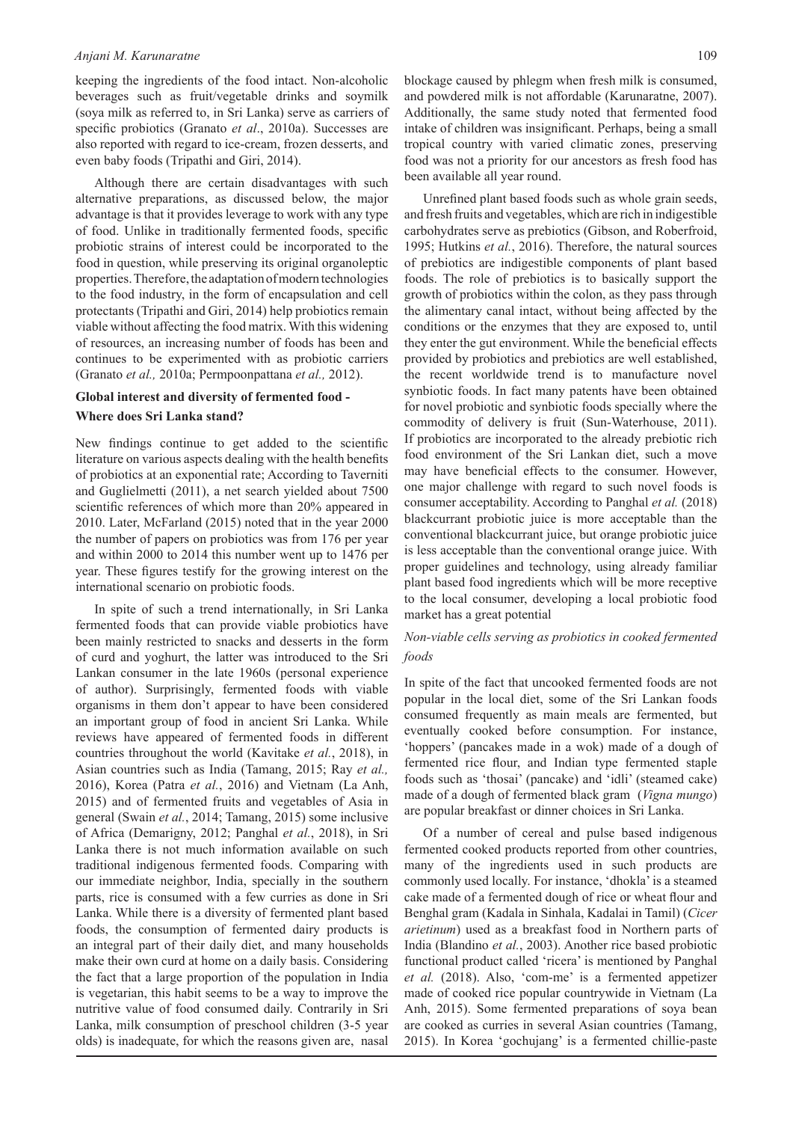#### *Anjani M. Karunaratne*

keeping the ingredients of the food intact. Non-alcoholic beverages such as fruit/vegetable drinks and soymilk (soya milk as referred to, in Sri Lanka) serve as carriers of specific probiotics (Granato *et al*., 2010a). Successes are also reported with regard to ice-cream, frozen desserts, and even baby foods (Tripathi and Giri, 2014).

Although there are certain disadvantages with such alternative preparations, as discussed below, the major advantage is that it provides leverage to work with any type of food. Unlike in traditionally fermented foods, specific probiotic strains of interest could be incorporated to the food in question, while preserving its original organoleptic properties. Therefore, the adaptation of modern technologies to the food industry, in the form of encapsulation and cell protectants (Tripathi and Giri, 2014) help probiotics remain viable without affecting the food matrix. With this widening of resources, an increasing number of foods has been and continues to be experimented with as probiotic carriers (Granato *et al.,* 2010a; Permpoonpattana *et al.,* 2012).

### **Global interest and diversity of fermented food - Where does Sri Lanka stand?**

New findings continue to get added to the scientific literature on various aspects dealing with the health benefits of probiotics at an exponential rate; According to Taverniti and Guglielmetti (2011), a net search yielded about 7500 scientific references of which more than 20% appeared in 2010. Later, McFarland (2015) noted that in the year 2000 the number of papers on probiotics was from 176 per year and within 2000 to 2014 this number went up to 1476 per year. These figures testify for the growing interest on the international scenario on probiotic foods.

In spite of such a trend internationally, in Sri Lanka fermented foods that can provide viable probiotics have been mainly restricted to snacks and desserts in the form of curd and yoghurt, the latter was introduced to the Sri Lankan consumer in the late 1960s (personal experience of author). Surprisingly, fermented foods with viable organisms in them don't appear to have been considered an important group of food in ancient Sri Lanka. While reviews have appeared of fermented foods in different countries throughout the world (Kavitake *et al.*, 2018), in Asian countries such as India (Tamang, 2015; Ray *et al.,* 2016), Korea (Patra *et al.*, 2016) and Vietnam (La Anh, 2015) and of fermented fruits and vegetables of Asia in general (Swain *et al.*, 2014; Tamang, 2015) some inclusive of Africa (Demarigny, 2012; Panghal *et al.*, 2018), in Sri Lanka there is not much information available on such traditional indigenous fermented foods. Comparing with our immediate neighbor, India, specially in the southern parts, rice is consumed with a few curries as done in Sri Lanka. While there is a diversity of fermented plant based foods, the consumption of fermented dairy products is an integral part of their daily diet, and many households make their own curd at home on a daily basis. Considering the fact that a large proportion of the population in India is vegetarian, this habit seems to be a way to improve the nutritive value of food consumed daily. Contrarily in Sri Lanka, milk consumption of preschool children (3-5 year olds) is inadequate, for which the reasons given are, nasal

blockage caused by phlegm when fresh milk is consumed, and powdered milk is not affordable (Karunaratne, 2007). Additionally, the same study noted that fermented food intake of children was insignificant. Perhaps, being a small tropical country with varied climatic zones, preserving food was not a priority for our ancestors as fresh food has been available all year round.

Unrefined plant based foods such as whole grain seeds, and fresh fruits and vegetables, which are rich in indigestible carbohydrates serve as prebiotics (Gibson, and Roberfroid, 1995; Hutkins *et al.*, 2016). Therefore, the natural sources of prebiotics are indigestible components of plant based foods. The role of prebiotics is to basically support the growth of probiotics within the colon, as they pass through the alimentary canal intact, without being affected by the conditions or the enzymes that they are exposed to, until they enter the gut environment. While the beneficial effects provided by probiotics and prebiotics are well established, the recent worldwide trend is to manufacture novel synbiotic foods. In fact many patents have been obtained for novel probiotic and synbiotic foods specially where the commodity of delivery is fruit (Sun-Waterhouse, 2011). If probiotics are incorporated to the already prebiotic rich food environment of the Sri Lankan diet, such a move may have beneficial effects to the consumer. However, one major challenge with regard to such novel foods is consumer acceptability. According to Panghal *et al.* (2018) blackcurrant probiotic juice is more acceptable than the conventional blackcurrant juice, but orange probiotic juice is less acceptable than the conventional orange juice. With proper guidelines and technology, using already familiar plant based food ingredients which will be more receptive to the local consumer, developing a local probiotic food market has a great potential

## *Non-viable cells serving as probiotics in cooked fermented foods*

In spite of the fact that uncooked fermented foods are not popular in the local diet, some of the Sri Lankan foods consumed frequently as main meals are fermented, but eventually cooked before consumption. For instance, 'hoppers' (pancakes made in a wok) made of a dough of fermented rice flour, and Indian type fermented staple foods such as 'thosai' (pancake) and 'idli' (steamed cake) made of a dough of fermented black gram (*Vigna mungo*) are popular breakfast or dinner choices in Sri Lanka.

Of a number of cereal and pulse based indigenous fermented cooked products reported from other countries, many of the ingredients used in such products are commonly used locally. For instance, 'dhokla' is a steamed cake made of a fermented dough of rice or wheat flour and Benghal gram (Kadala in Sinhala, Kadalai in Tamil) (*Cicer arietinum*) used as a breakfast food in Northern parts of India (Blandino *et al.*, 2003). Another rice based probiotic functional product called 'ricera' is mentioned by Panghal *et al.* (2018). Also, 'com-me' is a fermented appetizer made of cooked rice popular countrywide in Vietnam (La Anh, 2015). Some fermented preparations of soya bean are cooked as curries in several Asian countries (Tamang, 2015). In Korea 'gochujang' is a fermented chillie-paste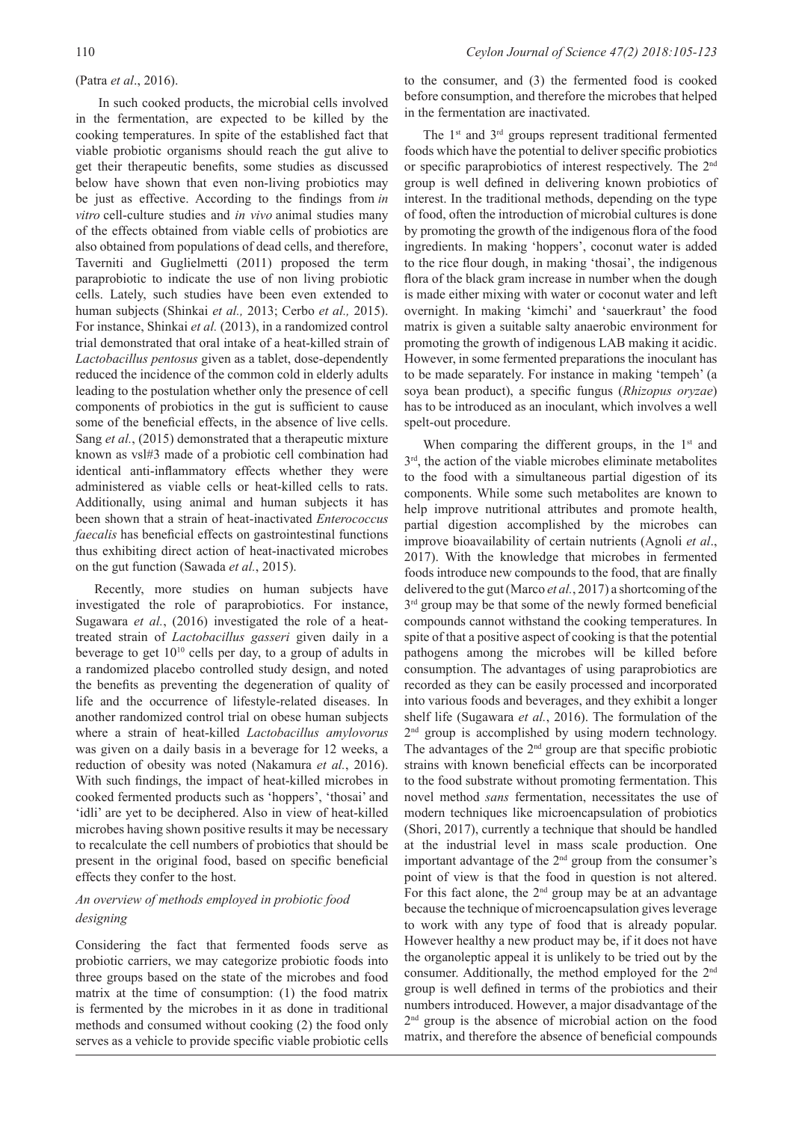### (Patra *et al*., 2016).

 In such cooked products, the microbial cells involved in the fermentation, are expected to be killed by the cooking temperatures. In spite of the established fact that viable probiotic organisms should reach the gut alive to get their therapeutic benefits, some studies as discussed below have shown that even non-living probiotics may be just as effective. According to the findings from *in vitro* cell-culture studies and *in vivo* animal studies many of the effects obtained from viable cells of probiotics are also obtained from populations of dead cells, and therefore, Taverniti and Guglielmetti (2011) proposed the term paraprobiotic to indicate the use of non living probiotic cells. Lately, such studies have been even extended to human subjects (Shinkai *et al.,* 2013; Cerbo *et al.,* 2015). For instance, Shinkai *et al.* (2013), in a randomized control trial demonstrated that oral intake of a heat-killed strain of *Lactobacillus pentosus* given as a tablet, dose-dependently reduced the incidence of the common cold in elderly adults leading to the postulation whether only the presence of cell components of probiotics in the gut is sufficient to cause some of the beneficial effects, in the absence of live cells. Sang *et al.*, (2015) demonstrated that a therapeutic mixture known as vsl#3 made of a probiotic cell combination had identical anti-inflammatory effects whether they were administered as viable cells or heat-killed cells to rats. Additionally, using animal and human subjects it has been shown that a strain of heat-inactivated *Enterococcus faecalis* has beneficial effects on gastrointestinal functions thus exhibiting direct action of heat-inactivated microbes on the gut function (Sawada *et al.*, 2015).

Recently, more studies on human subjects have investigated the role of paraprobiotics. For instance, Sugawara *et al.*, (2016) investigated the role of a heattreated strain of *Lactobacillus gasseri* given daily in a beverage to get  $10^{10}$  cells per day, to a group of adults in a randomized placebo controlled study design, and noted the benefits as preventing the degeneration of quality of life and the occurrence of lifestyle-related diseases. In another randomized control trial on obese human subjects where a strain of heat-killed *Lactobacillus amylovorus* was given on a daily basis in a beverage for 12 weeks, a reduction of obesity was noted (Nakamura *et al.*, 2016). With such findings, the impact of heat-killed microbes in cooked fermented products such as 'hoppers', 'thosai' and 'idli' are yet to be deciphered. Also in view of heat-killed microbes having shown positive results it may be necessary to recalculate the cell numbers of probiotics that should be present in the original food, based on specific beneficial effects they confer to the host.

# *An overview of methods employed in probiotic food designing*

Considering the fact that fermented foods serve as probiotic carriers, we may categorize probiotic foods into three groups based on the state of the microbes and food matrix at the time of consumption: (1) the food matrix is fermented by the microbes in it as done in traditional methods and consumed without cooking (2) the food only serves as a vehicle to provide specific viable probiotic cells

to the consumer, and (3) the fermented food is cooked before consumption, and therefore the microbes that helped in the fermentation are inactivated.

The  $1<sup>st</sup>$  and  $3<sup>rd</sup>$  groups represent traditional fermented foods which have the potential to deliver specific probiotics or specific paraprobiotics of interest respectively. The 2nd group is well defined in delivering known probiotics of interest. In the traditional methods, depending on the type of food, often the introduction of microbial cultures is done by promoting the growth of the indigenous flora of the food ingredients. In making 'hoppers', coconut water is added to the rice flour dough, in making 'thosai', the indigenous flora of the black gram increase in number when the dough is made either mixing with water or coconut water and left overnight. In making 'kimchi' and 'sauerkraut' the food matrix is given a suitable salty anaerobic environment for promoting the growth of indigenous LAB making it acidic. However, in some fermented preparations the inoculant has to be made separately. For instance in making 'tempeh' (a soya bean product), a specific fungus (*Rhizopus oryzae*) has to be introduced as an inoculant, which involves a well spelt-out procedure.

When comparing the different groups, in the  $1<sup>st</sup>$  and 3rd, the action of the viable microbes eliminate metabolites to the food with a simultaneous partial digestion of its components. While some such metabolites are known to help improve nutritional attributes and promote health, partial digestion accomplished by the microbes can improve bioavailability of certain nutrients (Agnoli *et al*., 2017). With the knowledge that microbes in fermented foods introduce new compounds to the food, that are finally delivered to the gut (Marco *et al.*, 2017) a shortcoming of the  $3<sup>rd</sup>$  group may be that some of the newly formed beneficial compounds cannot withstand the cooking temperatures. In spite of that a positive aspect of cooking is that the potential pathogens among the microbes will be killed before consumption. The advantages of using paraprobiotics are recorded as they can be easily processed and incorporated into various foods and beverages, and they exhibit a longer shelf life (Sugawara *et al.*, 2016). The formulation of the 2<sup>nd</sup> group is accomplished by using modern technology. The advantages of the 2<sup>nd</sup> group are that specific probiotic strains with known beneficial effects can be incorporated to the food substrate without promoting fermentation. This novel method *sans* fermentation, necessitates the use of modern techniques like microencapsulation of probiotics (Shori, 2017), currently a technique that should be handled at the industrial level in mass scale production. One important advantage of the 2<sup>nd</sup> group from the consumer's point of view is that the food in question is not altered. For this fact alone, the  $2<sup>nd</sup>$  group may be at an advantage because the technique of microencapsulation gives leverage to work with any type of food that is already popular. However healthy a new product may be, if it does not have the organoleptic appeal it is unlikely to be tried out by the consumer. Additionally, the method employed for the 2nd group is well defined in terms of the probiotics and their numbers introduced. However, a major disadvantage of the 2nd group is the absence of microbial action on the food matrix, and therefore the absence of beneficial compounds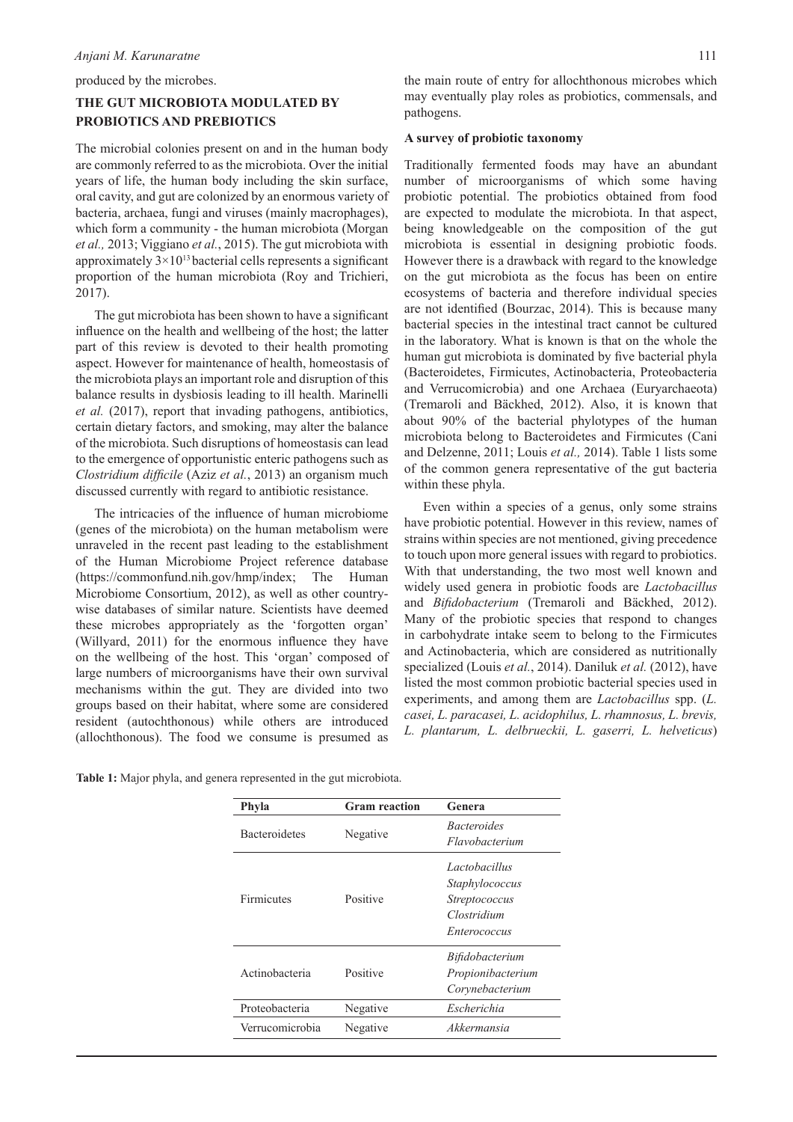produced by the microbes.

# **THE GUT MICROBIOTA MODULATED BY PROBIOTICS AND PREBIOTICS**

The microbial colonies present on and in the human body are commonly referred to as the microbiota. Over the initial years of life, the human body including the skin surface, oral cavity, and gut are colonized by an enormous variety of bacteria, archaea, fungi and viruses (mainly macrophages), which form a community - the human microbiota (Morgan *et al.,* 2013; Viggiano *et al.*, 2015). The gut microbiota with approximately  $3 \times 10^{13}$  bacterial cells represents a significant proportion of the human microbiota (Roy and Trichieri, 2017).

The gut microbiota has been shown to have a significant influence on the health and wellbeing of the host; the latter part of this review is devoted to their health promoting aspect. However for maintenance of health, homeostasis of the microbiota plays an important role and disruption of this balance results in dysbiosis leading to ill health. Marinelli *et al.* (2017), report that invading pathogens, antibiotics, certain dietary factors, and smoking, may alter the balance of the microbiota. Such disruptions of homeostasis can lead to the emergence of opportunistic enteric pathogens such as *Clostridium difficile* (Aziz *et al.*, 2013) an organism much discussed currently with regard to antibiotic resistance.

The intricacies of the influence of human microbiome (genes of the microbiota) on the human metabolism were unraveled in the recent past leading to the establishment of the Human Microbiome Project reference database (https://commonfund.nih.gov/hmp/index; The Human Microbiome Consortium, 2012), as well as other countrywise databases of similar nature. Scientists have deemed these microbes appropriately as the 'forgotten organ' (Willyard, 2011) for the enormous influence they have on the wellbeing of the host. This 'organ' composed of large numbers of microorganisms have their own survival mechanisms within the gut. They are divided into two groups based on their habitat, where some are considered resident (autochthonous) while others are introduced (allochthonous). The food we consume is presumed as

the main route of entry for allochthonous microbes which may eventually play roles as probiotics, commensals, and pathogens.

### **A survey of probiotic taxonomy**

Traditionally fermented foods may have an abundant number of microorganisms of which some having probiotic potential. The probiotics obtained from food are expected to modulate the microbiota. In that aspect, being knowledgeable on the composition of the gut microbiota is essential in designing probiotic foods. However there is a drawback with regard to the knowledge on the gut microbiota as the focus has been on entire ecosystems of bacteria and therefore individual species are not identified (Bourzac, 2014). This is because many bacterial species in the intestinal tract cannot be cultured in the laboratory. What is known is that on the whole the human gut microbiota is dominated by five bacterial phyla (Bacteroidetes, Firmicutes, Actinobacteria, Proteobacteria and Verrucomicrobia) and one Archaea (Euryarchaeota) (Tremaroli and Bäckhed, 2012). Also, it is known that about 90% of the bacterial phylotypes of the human microbiota belong to Bacteroidetes and Firmicutes (Cani and Delzenne, 2011; Louis *et al.,* 2014). Table 1 lists some of the common genera representative of the gut bacteria within these phyla.

Even within a species of a genus, only some strains have probiotic potential. However in this review, names of strains within species are not mentioned, giving precedence to touch upon more general issues with regard to probiotics. With that understanding, the two most well known and widely used genera in probiotic foods are *Lactobacillus*  and *Bifidobacterium* (Tremaroli and Bäckhed, 2012). Many of the probiotic species that respond to changes in carbohydrate intake seem to belong to the Firmicutes and Actinobacteria, which are considered as nutritionally specialized (Louis *et al.*, 2014). Daniluk *et al.* (2012), have listed the most common probiotic bacterial species used in experiments, and among them are *Lactobacillus* spp. (*L. casei, L. paracasei, L. acidophilus, L. rhamnosus, L. brevis, L. plantarum, L. delbrueckii, L. gaserri, L. helveticus*)

|  |  |  |  |  |  | Table 1: Major phyla, and genera represented in the gut microbiota. |  |  |  |  |  |
|--|--|--|--|--|--|---------------------------------------------------------------------|--|--|--|--|--|
|--|--|--|--|--|--|---------------------------------------------------------------------|--|--|--|--|--|

| Phyla                | <b>Gram</b> reaction | Genera                 |  |  |
|----------------------|----------------------|------------------------|--|--|
| <b>Bacteroidetes</b> | Negative             | <i>Bacteroides</i>     |  |  |
|                      |                      | Flavobacterium         |  |  |
|                      |                      | Lactobacillus          |  |  |
|                      |                      | Staphylococcus         |  |  |
| Firmicutes           | Positive             | <i>Streptococcus</i>   |  |  |
|                      |                      | Clostridium            |  |  |
|                      |                      | Enterococcus           |  |  |
|                      |                      | <i>Bifidobacterium</i> |  |  |
| Actinobacteria       | Positive             | Propionibacterium      |  |  |
|                      |                      | Corynebacterium        |  |  |
| Proteobacteria       | Negative             | Escherichia            |  |  |
| Verrucomicrobia      | Negative             | Akkermansia            |  |  |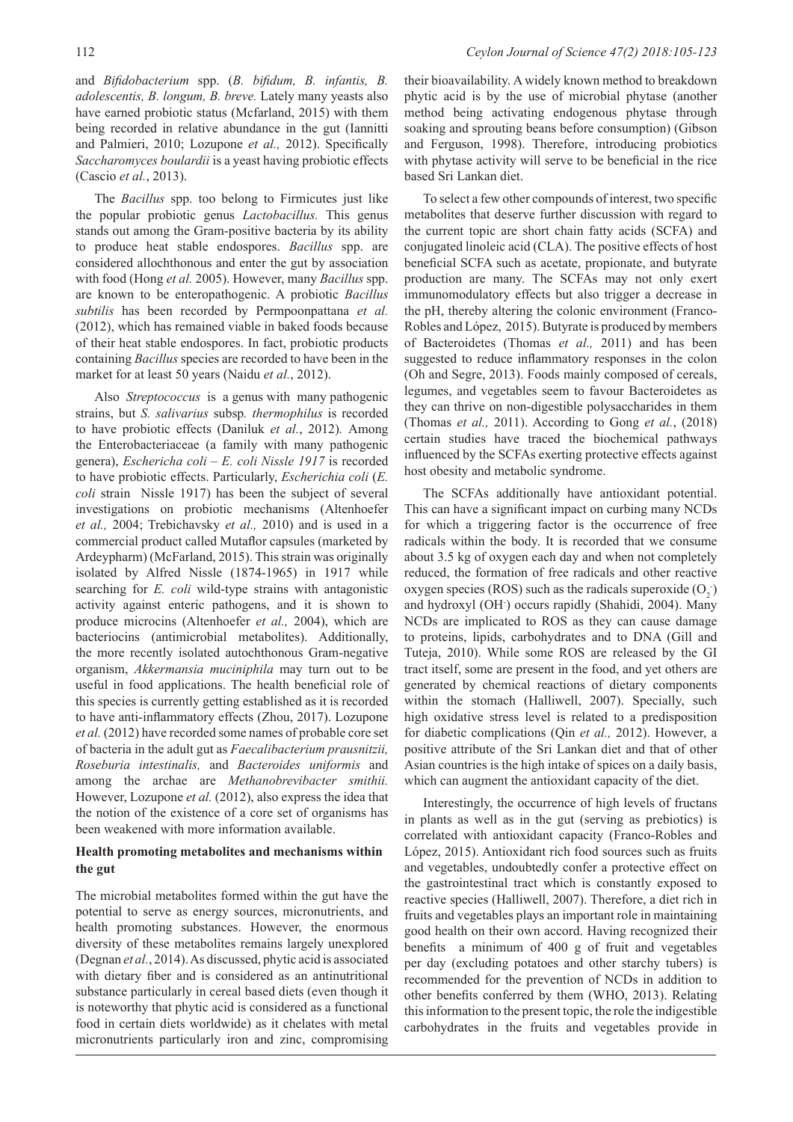and *Bifidobacterium* spp. (*B. bifidum, B. infantis, B. adolescentis, B. longum, B. breve.* Lately many yeasts also have earned probiotic status (Mcfarland, 2015) with them being recorded in relative abundance in the gut (Iannitti and Palmieri, 2010; Lozupone *et al.,* 2012). Specifically *Saccharomyces boulardii* is a yeast having probiotic effects (Cascio *et al.*, 2013).

The *Bacillus* spp. too belong to Firmicutes just like the popular probiotic genus *Lactobacillus.* This genus stands out among the Gram-positive bacteria by its ability to produce heat stable endospores. *Bacillus* spp. are considered allochthonous and enter the gut by association with food (Hong *et al.* 2005). However, many *Bacillus* spp. are known to be enteropathogenic. A probiotic *Bacillus subtilis* has been recorded by Permpoonpattana *et al.* (2012), which has remained viable in baked foods because of their heat stable endospores. In fact, probiotic products containing *Bacillus* species are recorded to have been in the market for at least 50 years (Naidu *et al.*, 2012).

Also *Streptococcus* is a genus with many pathogenic strains, but *S. salivarius* subsp*. thermophilus* is recorded to have probiotic effects (Daniluk *et al.*, 2012)*.* Among the Enterobacteriaceae (a family with many pathogenic genera), *Eschericha coli – E. coli Nissle 1917* is recorded to have probiotic effects. Particularly, *Escherichia coli* (*E. coli* strain Nissle 1917) has been the subject of several investigations on probiotic mechanisms (Altenhoefer *et al.,* 2004; Trebichavsky *et al.,* 2010) and is used in a commercial product called Mutaflor capsules (marketed by Ardeypharm) (McFarland, 2015). This strain was originally isolated by Alfred Nissle (1874-1965) in 1917 while searching for *E. coli* wild-type strains with antagonistic activity against enteric pathogens, and it is shown to produce microcins (Altenhoefer *et al.,* 2004), which are bacteriocins (antimicrobial metabolites). Additionally, the more recently isolated autochthonous Gram-negative organism, *Akkermansia muciniphila* may turn out to be useful in food applications. The health beneficial role of this species is currently getting established as it is recorded to have anti-inflammatory effects (Zhou, 2017). Lozupone *et al.* (2012) have recorded some names of probable core set of bacteria in the adult gut as *Faecalibacterium prausnitzii, Roseburia intestinalis,* and *Bacteroides uniformis* and among the archae are *Methanobrevibacter smithii.*  However, Lozupone *et al.* (2012), also express the idea that the notion of the existence of a core set of organisms has been weakened with more information available.

### **Health promoting metabolites and mechanisms within the gut**

The microbial metabolites formed within the gut have the potential to serve as energy sources, micronutrients, and health promoting substances. However, the enormous diversity of these metabolites remains largely unexplored (Degnan *et al.*, 2014). As discussed, phytic acid is associated with dietary fiber and is considered as an antinutritional substance particularly in cereal based diets (even though it is noteworthy that phytic acid is considered as a functional food in certain diets worldwide) as it chelates with metal micronutrients particularly iron and zinc, compromising

their bioavailability. A widely known method to breakdown phytic acid is by the use of microbial phytase (another method being activating endogenous phytase through soaking and sprouting beans before consumption) (Gibson and Ferguson, 1998). Therefore, introducing probiotics with phytase activity will serve to be beneficial in the rice based Sri Lankan diet.

To select a few other compounds of interest, two specific metabolites that deserve further discussion with regard to the current topic are short chain fatty acids (SCFA) and conjugated linoleic acid (CLA). The positive effects of host beneficial SCFA such as acetate, propionate, and butyrate production are many. The SCFAs may not only exert immunomodulatory effects but also trigger a decrease in the pH, thereby altering the colonic environment (Franco-Robles and López, 2015). Butyrate is produced by members of Bacteroidetes (Thomas *et al.,* 2011) and has been suggested to reduce inflammatory responses in the colon (Oh and Segre, 2013). Foods mainly composed of cereals, legumes, and vegetables seem to favour Bacteroidetes as they can thrive on non-digestible polysaccharides in them (Thomas *et al.,* 2011). According to Gong *et al.*, (2018) certain studies have traced the biochemical pathways influenced by the SCFAs exerting protective effects against host obesity and metabolic syndrome.

The SCFAs additionally have antioxidant potential. This can have a significant impact on curbing many NCDs for which a triggering factor is the occurrence of free radicals within the body. It is recorded that we consume about 3.5 kg of oxygen each day and when not completely reduced, the formation of free radicals and other reactive oxygen species (ROS) such as the radicals superoxide  $(O_2)$ and hydroxyl (OH- ) occurs rapidly (Shahidi, 2004). Many NCDs are implicated to ROS as they can cause damage to proteins, lipids, carbohydrates and to DNA (Gill and Tuteja, 2010). While some ROS are released by the GI tract itself, some are present in the food, and yet others are generated by chemical reactions of dietary components within the stomach (Halliwell, 2007). Specially, such high oxidative stress level is related to a predisposition for diabetic complications (Qin *et al.,* 2012). However, a positive attribute of the Sri Lankan diet and that of other Asian countries is the high intake of spices on a daily basis, which can augment the antioxidant capacity of the diet.

Interestingly, the occurrence of high levels of fructans in plants as well as in the gut (serving as prebiotics) is correlated with antioxidant capacity (Franco-Robles and López, 2015). Antioxidant rich food sources such as fruits and vegetables, undoubtedly confer a protective effect on the gastrointestinal tract which is constantly exposed to reactive species (Halliwell, 2007). Therefore, a diet rich in fruits and vegetables plays an important role in maintaining good health on their own accord. Having recognized their benefits a minimum of 400 g of fruit and vegetables per day (excluding potatoes and other starchy tubers) is recommended for the prevention of NCDs in addition to other benefits conferred by them (WHO, 2013). Relating this information to the present topic, the role the indigestible carbohydrates in the fruits and vegetables provide in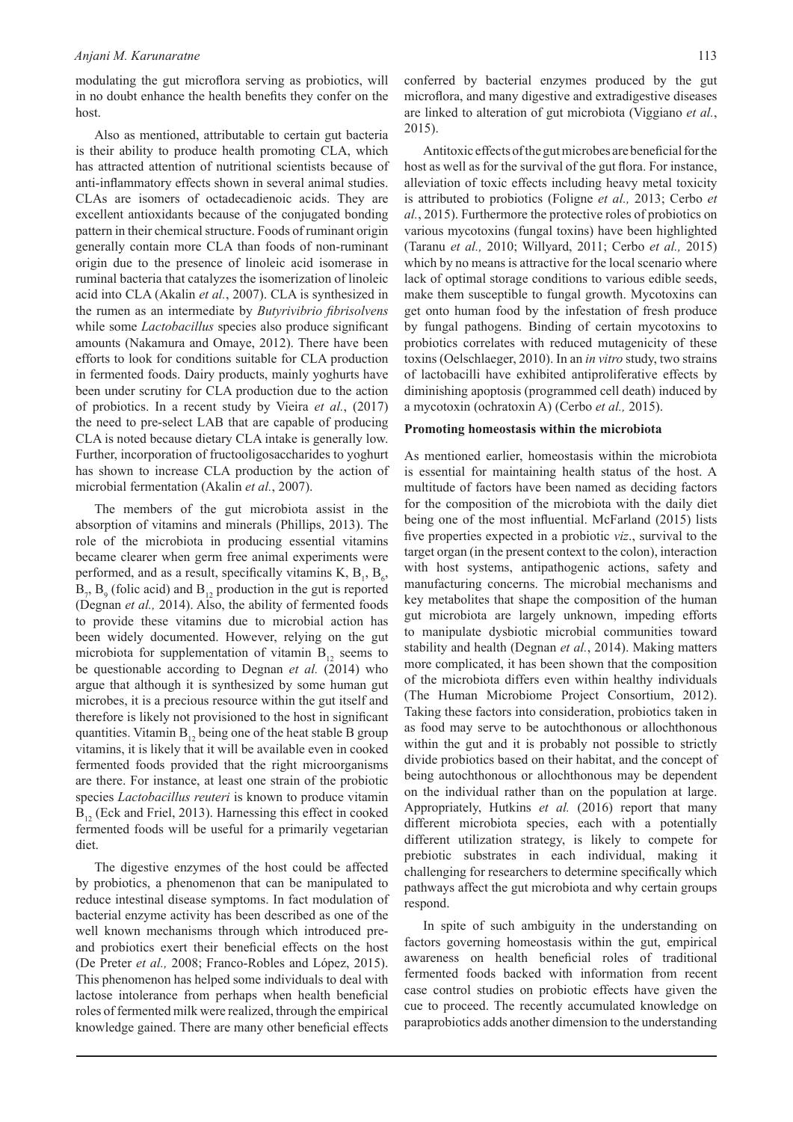modulating the gut microflora serving as probiotics, will in no doubt enhance the health benefits they confer on the host.

Also as mentioned, attributable to certain gut bacteria is their ability to produce health promoting CLA, which has attracted attention of nutritional scientists because of anti-inflammatory effects shown in several animal studies. CLAs are isomers of octadecadienoic acids. They are excellent antioxidants because of the conjugated bonding pattern in their chemical structure. Foods of ruminant origin generally contain more CLA than foods of non-ruminant origin due to the presence of linoleic acid isomerase in ruminal bacteria that catalyzes the isomerization of linoleic acid into CLA (Akalin *et al.*, 2007). CLA is synthesized in the rumen as an intermediate by *Butyrivibrio fibrisolvens* while some *Lactobacillus* species also produce significant amounts (Nakamura and Omaye, 2012). There have been efforts to look for conditions suitable for CLA production in fermented foods. Dairy products, mainly yoghurts have been under scrutiny for CLA production due to the action of probiotics. In a recent study by Vieira *et al.*, (2017) the need to pre-select LAB that are capable of producing CLA is noted because dietary CLA intake is generally low. Further, incorporation of fructooligosaccharides to yoghurt has shown to increase CLA production by the action of microbial fermentation (Akalin *et al.*, 2007).

The members of the gut microbiota assist in the absorption of vitamins and minerals (Phillips, 2013). The role of the microbiota in producing essential vitamins became clearer when germ free animal experiments were performed, and as a result, specifically vitamins K,  $B_1$ ,  $B_6$ ,  $B_7$ ,  $B_9$  (folic acid) and  $B_{12}$  production in the gut is reported (Degnan *et al.,* 2014). Also, the ability of fermented foods to provide these vitamins due to microbial action has been widely documented. However, relying on the gut microbiota for supplementation of vitamin  $B_{12}$  seems to be questionable according to Degnan *et al.* (2014) who argue that although it is synthesized by some human gut microbes, it is a precious resource within the gut itself and therefore is likely not provisioned to the host in significant quantities. Vitamin  $B_{12}$  being one of the heat stable B group vitamins, it is likely that it will be available even in cooked fermented foods provided that the right microorganisms are there. For instance, at least one strain of the probiotic species *Lactobacillus reuteri* is known to produce vitamin  $B_{12}$  (Eck and Friel, 2013). Harnessing this effect in cooked fermented foods will be useful for a primarily vegetarian diet.

The digestive enzymes of the host could be affected by probiotics, a phenomenon that can be manipulated to reduce intestinal disease symptoms. In fact modulation of bacterial enzyme activity has been described as one of the well known mechanisms through which introduced preand probiotics exert their beneficial effects on the host (De Preter *et al.,* 2008; Franco-Robles and López, 2015). This phenomenon has helped some individuals to deal with lactose intolerance from perhaps when health beneficial roles of fermented milk were realized, through the empirical knowledge gained. There are many other beneficial effects

conferred by bacterial enzymes produced by the gut microflora, and many digestive and extradigestive diseases are linked to alteration of gut microbiota (Viggiano *et al.*, 2015).

Antitoxic effects of the gut microbes are beneficial for the host as well as for the survival of the gut flora. For instance, alleviation of toxic effects including heavy metal toxicity is attributed to probiotics (Foligne *et al.,* 2013; Cerbo *et al.*, 2015). Furthermore the protective roles of probiotics on various mycotoxins (fungal toxins) have been highlighted (Taranu *et al.,* 2010; Willyard, 2011; Cerbo *et al.,* 2015) which by no means is attractive for the local scenario where lack of optimal storage conditions to various edible seeds, make them susceptible to fungal growth. Mycotoxins can get onto human food by the infestation of fresh produce by fungal pathogens. Binding of certain mycotoxins to probiotics correlates with reduced mutagenicity of these toxins (Oelschlaeger, 2010). In an *in vitro* study, two strains of lactobacilli have exhibited antiproliferative effects by diminishing apoptosis (programmed cell death) induced by a mycotoxin (ochratoxin A) (Cerbo *et al.,* 2015).

#### **Promoting homeostasis within the microbiota**

As mentioned earlier, homeostasis within the microbiota is essential for maintaining health status of the host. A multitude of factors have been named as deciding factors for the composition of the microbiota with the daily diet being one of the most influential. McFarland (2015) lists five properties expected in a probiotic *viz*., survival to the target organ (in the present context to the colon), interaction with host systems, antipathogenic actions, safety and manufacturing concerns. The microbial mechanisms and key metabolites that shape the composition of the human gut microbiota are largely unknown, impeding efforts to manipulate dysbiotic microbial communities toward stability and health (Degnan *et al.*, 2014). Making matters more complicated, it has been shown that the composition of the microbiota differs even within healthy individuals (The Human Microbiome Project Consortium, 2012). Taking these factors into consideration, probiotics taken in as food may serve to be autochthonous or allochthonous within the gut and it is probably not possible to strictly divide probiotics based on their habitat, and the concept of being autochthonous or allochthonous may be dependent on the individual rather than on the population at large. Appropriately, Hutkins *et al.* (2016) report that many different microbiota species, each with a potentially different utilization strategy, is likely to compete for prebiotic substrates in each individual, making it challenging for researchers to determine specifically which pathways affect the gut microbiota and why certain groups respond.

In spite of such ambiguity in the understanding on factors governing homeostasis within the gut, empirical awareness on health beneficial roles of traditional fermented foods backed with information from recent case control studies on probiotic effects have given the cue to proceed. The recently accumulated knowledge on paraprobiotics adds another dimension to the understanding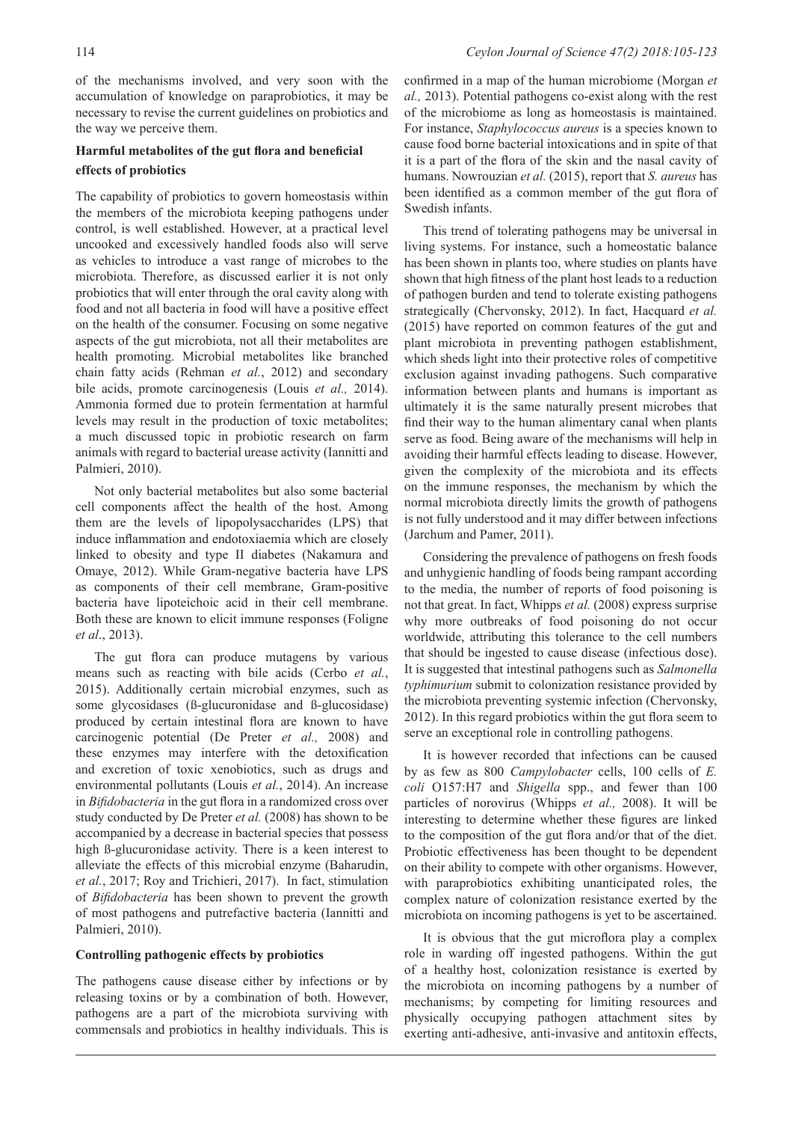of the mechanisms involved, and very soon with the accumulation of knowledge on paraprobiotics, it may be necessary to revise the current guidelines on probiotics and the way we perceive them.

# **Harmful metabolites of the gut flora and beneficial effects of probiotics**

The capability of probiotics to govern homeostasis within the members of the microbiota keeping pathogens under control, is well established. However, at a practical level uncooked and excessively handled foods also will serve as vehicles to introduce a vast range of microbes to the microbiota. Therefore, as discussed earlier it is not only probiotics that will enter through the oral cavity along with food and not all bacteria in food will have a positive effect on the health of the consumer. Focusing on some negative aspects of the gut microbiota, not all their metabolites are health promoting. Microbial metabolites like branched chain fatty acids (Rehman *et al.*, 2012) and secondary bile acids, promote carcinogenesis (Louis *et al.,* 2014). Ammonia formed due to protein fermentation at harmful levels may result in the production of toxic metabolites; a much discussed topic in probiotic research on farm animals with regard to bacterial urease activity (Iannitti and Palmieri, 2010).

Not only bacterial metabolites but also some bacterial cell components affect the health of the host. Among them are the levels of lipopolysaccharides (LPS) that induce inflammation and endotoxiaemia which are closely linked to obesity and type II diabetes (Nakamura and Omaye, 2012). While Gram-negative bacteria have LPS as components of their cell membrane, Gram-positive bacteria have lipoteichoic acid in their cell membrane. Both these are known to elicit immune responses (Foligne *et al*., 2013).

The gut flora can produce mutagens by various means such as reacting with bile acids (Cerbo *et al.*, 2015). Additionally certain microbial enzymes, such as some glycosidases (ß-glucuronidase and ß-glucosidase) produced by certain intestinal flora are known to have carcinogenic potential (De Preter *et al.,* 2008) and these enzymes may interfere with the detoxification and excretion of toxic xenobiotics, such as drugs and environmental pollutants (Louis *et al.*, 2014). An increase in *Bifidobacteria* in the gut flora in a randomized cross over study conducted by De Preter *et al.* (2008) has shown to be accompanied by a decrease in bacterial species that possess high ß-glucuronidase activity. There is a keen interest to alleviate the effects of this microbial enzyme (Baharudin, *et al.*, 2017; Roy and Trichieri, 2017). In fact, stimulation of *Bifidobacteria* has been shown to prevent the growth of most pathogens and putrefactive bacteria (Iannitti and Palmieri, 2010).

### **Controlling pathogenic effects by probiotics**

The pathogens cause disease either by infections or by releasing toxins or by a combination of both. However, pathogens are a part of the microbiota surviving with commensals and probiotics in healthy individuals. This is confirmed in a map of the human microbiome (Morgan *et al.,* 2013). Potential pathogens co-exist along with the rest of the microbiome as long as homeostasis is maintained. For instance, *Staphylococcus aureus* is a species known to cause food borne bacterial intoxications and in spite of that it is a part of the flora of the skin and the nasal cavity of humans. Nowrouzian *et al.* (2015), report that *S. aureus* has been identified as a common member of the gut flora of Swedish infants.

This trend of tolerating pathogens may be universal in living systems. For instance, such a homeostatic balance has been shown in plants too, where studies on plants have shown that high fitness of the plant host leads to a reduction of pathogen burden and tend to tolerate existing pathogens strategically (Chervonsky, 2012). In fact, Hacquard *et al.* (2015) have reported on common features of the gut and plant microbiota in preventing pathogen establishment, which sheds light into their protective roles of competitive exclusion against invading pathogens. Such comparative information between plants and humans is important as ultimately it is the same naturally present microbes that find their way to the human alimentary canal when plants serve as food. Being aware of the mechanisms will help in avoiding their harmful effects leading to disease. However, given the complexity of the microbiota and its effects on the immune responses, the mechanism by which the normal microbiota directly limits the growth of pathogens is not fully understood and it may differ between infections (Jarchum and Pamer, 2011).

Considering the prevalence of pathogens on fresh foods and unhygienic handling of foods being rampant according to the media, the number of reports of food poisoning is not that great. In fact, Whipps *et al.* (2008) express surprise why more outbreaks of food poisoning do not occur worldwide, attributing this tolerance to the cell numbers that should be ingested to cause disease (infectious dose). It is suggested that intestinal pathogens such as *Salmonella typhimurium* submit to colonization resistance provided by the microbiota preventing systemic infection (Chervonsky, 2012). In this regard probiotics within the gut flora seem to serve an exceptional role in controlling pathogens.

It is however recorded that infections can be caused by as few as 800 *Campylobacter* cells, 100 cells of *E. coli* O157:H7 and *Shigella* spp., and fewer than 100 particles of norovirus (Whipps *et al.,* 2008). It will be interesting to determine whether these figures are linked to the composition of the gut flora and/or that of the diet. Probiotic effectiveness has been thought to be dependent on their ability to compete with other organisms. However, with paraprobiotics exhibiting unanticipated roles, the complex nature of colonization resistance exerted by the microbiota on incoming pathogens is yet to be ascertained.

It is obvious that the gut microflora play a complex role in warding off ingested pathogens. Within the gut of a healthy host, colonization resistance is exerted by the microbiota on incoming pathogens by a number of mechanisms; by competing for limiting resources and physically occupying pathogen attachment sites by exerting anti-adhesive, anti-invasive and antitoxin effects,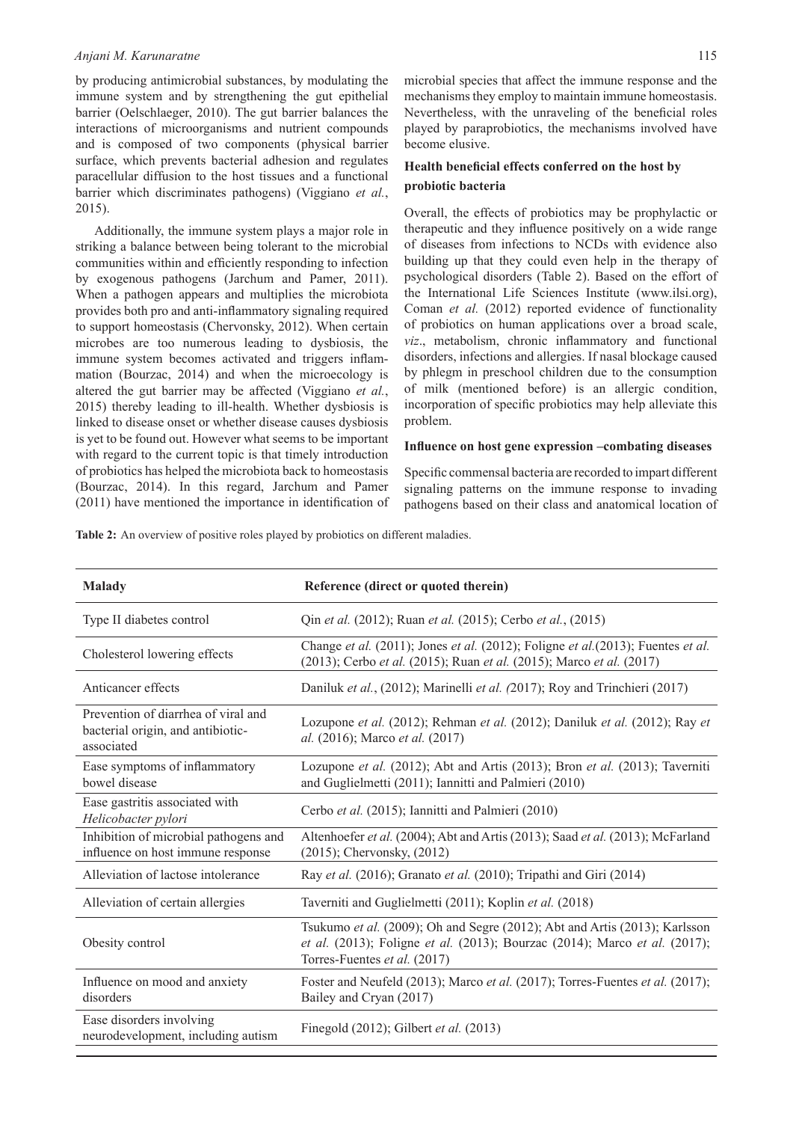by producing antimicrobial substances, by modulating the immune system and by strengthening the gut epithelial barrier (Oelschlaeger, 2010). The gut barrier balances the interactions of microorganisms and nutrient compounds and is composed of two components (physical barrier surface, which prevents bacterial adhesion and regulates paracellular diffusion to the host tissues and a functional barrier which discriminates pathogens) (Viggiano *et al.*, 2015).

Additionally, the immune system plays a major role in striking a balance between being tolerant to the microbial communities within and efficiently responding to infection by exogenous pathogens (Jarchum and Pamer, 2011). When a pathogen appears and multiplies the microbiota provides both pro and anti-inflammatory signaling required to support homeostasis (Chervonsky, 2012). When certain microbes are too numerous leading to dysbiosis, the immune system becomes activated and triggers inflammation (Bourzac, 2014) and when the microecology is altered the gut barrier may be affected (Viggiano *et al.*, 2015) thereby leading to ill-health. Whether dysbiosis is linked to disease onset or whether disease causes dysbiosis is yet to be found out. However what seems to be important with regard to the current topic is that timely introduction of probiotics has helped the microbiota back to homeostasis (Bourzac, 2014). In this regard, Jarchum and Pamer (2011) have mentioned the importance in identification of microbial species that affect the immune response and the mechanisms they employ to maintain immune homeostasis. Nevertheless, with the unraveling of the beneficial roles played by paraprobiotics, the mechanisms involved have become elusive.

# **Health beneficial effects conferred on the host by probiotic bacteria**

Overall, the effects of probiotics may be prophylactic or therapeutic and they influence positively on a wide range of diseases from infections to NCDs with evidence also building up that they could even help in the therapy of psychological disorders (Table 2). Based on the effort of the International Life Sciences Institute (www.ilsi.org), Coman *et al.* (2012) reported evidence of functionality of probiotics on human applications over a broad scale, *viz*., metabolism, chronic inflammatory and functional disorders, infections and allergies. If nasal blockage caused by phlegm in preschool children due to the consumption of milk (mentioned before) is an allergic condition, incorporation of specific probiotics may help alleviate this problem.

### **Influence on host gene expression –combating diseases**

Specific commensal bacteria are recorded to impart different signaling patterns on the immune response to invading pathogens based on their class and anatomical location of

**Table 2:** An overview of positive roles played by probiotics on different maladies.

| <b>Malady</b>                                                                          | Reference (direct or quoted therein)                                                                                                                                                     |  |  |  |
|----------------------------------------------------------------------------------------|------------------------------------------------------------------------------------------------------------------------------------------------------------------------------------------|--|--|--|
| Type II diabetes control                                                               | Qin et al. (2012); Ruan et al. (2015); Cerbo et al., (2015)                                                                                                                              |  |  |  |
| Cholesterol lowering effects                                                           | Change et al. (2011); Jones et al. (2012); Foligne et al. (2013); Fuentes et al.<br>(2013); Cerbo et al. (2015); Ruan et al. (2015); Marco et al. (2017)                                 |  |  |  |
| Anticancer effects                                                                     | Daniluk et al., (2012); Marinelli et al. (2017); Roy and Trinchieri (2017)                                                                                                               |  |  |  |
| Prevention of diarrhea of viral and<br>bacterial origin, and antibiotic-<br>associated | Lozupone et al. (2012); Rehman et al. (2012); Daniluk et al. (2012); Ray et<br>al. (2016); Marco et al. (2017)                                                                           |  |  |  |
| Ease symptoms of inflammatory<br>bowel disease                                         | Lozupone et al. (2012); Abt and Artis (2013); Bron et al. (2013); Taverniti<br>and Guglielmetti (2011); Iannitti and Palmieri (2010)                                                     |  |  |  |
| Ease gastritis associated with<br>Helicobacter pylori                                  | Cerbo et al. (2015); Iannitti and Palmieri (2010)                                                                                                                                        |  |  |  |
| Inhibition of microbial pathogens and<br>influence on host immune response             | Altenhoefer et al. (2004); Abt and Artis (2013); Saad et al. (2013); McFarland<br>$(2015)$ ; Chervonsky, $(2012)$                                                                        |  |  |  |
| Alleviation of lactose intolerance                                                     | Ray et al. (2016); Granato et al. (2010); Tripathi and Giri (2014)                                                                                                                       |  |  |  |
| Alleviation of certain allergies                                                       | Taverniti and Guglielmetti (2011); Koplin et al. (2018)                                                                                                                                  |  |  |  |
| Obesity control                                                                        | Tsukumo et al. (2009); Oh and Segre (2012); Abt and Artis (2013); Karlsson<br>et al. (2013); Foligne et al. (2013); Bourzac (2014); Marco et al. (2017);<br>Torres-Fuentes et al. (2017) |  |  |  |
| Influence on mood and anxiety<br>disorders                                             | Foster and Neufeld (2013); Marco et al. (2017); Torres-Fuentes et al. (2017);<br>Bailey and Cryan (2017)                                                                                 |  |  |  |
| Ease disorders involving<br>neurodevelopment, including autism                         | Finegold (2012); Gilbert et al. (2013)                                                                                                                                                   |  |  |  |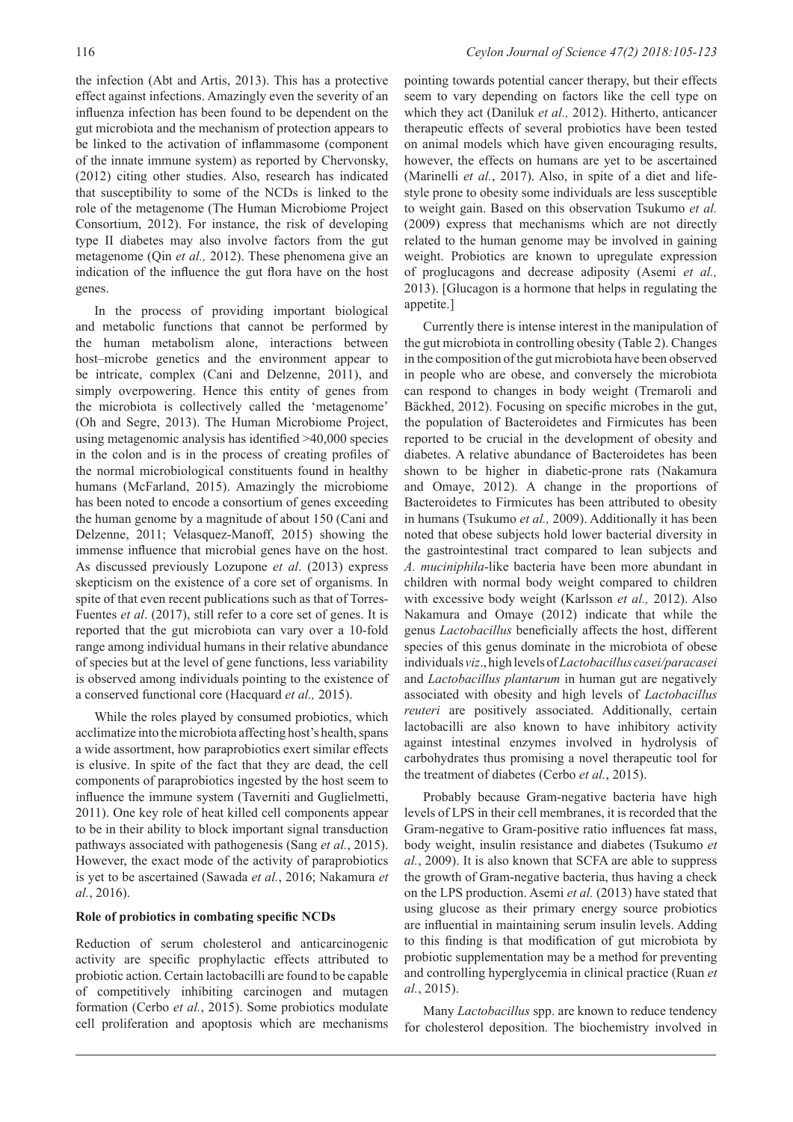the infection (Abt and Artis, 2013). This has a protective effect against infections. Amazingly even the severity of an influenza infection has been found to be dependent on the gut microbiota and the mechanism of protection appears to be linked to the activation of inflammasome (component of the innate immune system) as reported by Chervonsky, (2012) citing other studies. Also, research has indicated that susceptibility to some of the NCDs is linked to the role of the metagenome (The Human Microbiome Project Consortium, 2012). For instance, the risk of developing type II diabetes may also involve factors from the gut metagenome (Qin *et al.,* 2012). These phenomena give an indication of the influence the gut flora have on the host genes.

In the process of providing important biological and metabolic functions that cannot be performed by the human metabolism alone, interactions between host–microbe genetics and the environment appear to be intricate, complex (Cani and Delzenne, 2011), and simply overpowering. Hence this entity of genes from the microbiota is collectively called the 'metagenome' (Oh and Segre, 2013). The Human Microbiome Project, using metagenomic analysis has identified >40,000 species in the colon and is in the process of creating profiles of the normal microbiological constituents found in healthy humans (McFarland, 2015). Amazingly the microbiome has been noted to encode a consortium of genes exceeding the human genome by a magnitude of about 150 (Cani and Delzenne, 2011; Velasquez-Manoff, 2015) showing the immense influence that microbial genes have on the host. As discussed previously Lozupone *et al*. (2013) express skepticism on the existence of a core set of organisms. In spite of that even recent publications such as that of Torres-Fuentes *et al*. (2017), still refer to a core set of genes. It is reported that the gut microbiota can vary over a 10-fold range among individual humans in their relative abundance of species but at the level of gene functions, less variability is observed among individuals pointing to the existence of a conserved functional core (Hacquard *et al.,* 2015).

While the roles played by consumed probiotics, which acclimatize into the microbiota affecting host's health, spans a wide assortment, how paraprobiotics exert similar effects is elusive. In spite of the fact that they are dead, the cell components of paraprobiotics ingested by the host seem to influence the immune system (Taverniti and Guglielmetti, 2011). One key role of heat killed cell components appear to be in their ability to block important signal transduction pathways associated with pathogenesis (Sang *et al.*, 2015). However, the exact mode of the activity of paraprobiotics is yet to be ascertained (Sawada *et al.*, 2016; Nakamura *et al.*, 2016).

#### **Role of probiotics in combating specific NCDs**

Reduction of serum cholesterol and anticarcinogenic activity are specific prophylactic effects attributed to probiotic action. Certain lactobacilli are found to be capable of competitively inhibiting carcinogen and mutagen formation (Cerbo *et al.*, 2015). Some probiotics modulate cell proliferation and apoptosis which are mechanisms pointing towards potential cancer therapy, but their effects seem to vary depending on factors like the cell type on which they act (Daniluk *et al.,* 2012). Hitherto, anticancer therapeutic effects of several probiotics have been tested on animal models which have given encouraging results, however, the effects on humans are yet to be ascertained (Marinelli *et al.*, 2017). Also, in spite of a diet and lifestyle prone to obesity some individuals are less susceptible to weight gain. Based on this observation Tsukumo *et al.* (2009) express that mechanisms which are not directly related to the human genome may be involved in gaining weight. Probiotics are known to upregulate expression of proglucagons and decrease adiposity (Asemi *et al.,*  2013). [Glucagon is a hormone that helps in regulating the appetite.]

Currently there is intense interest in the manipulation of the gut microbiota in controlling obesity (Table 2). Changes in the composition of the gut microbiota have been observed in people who are obese, and conversely the microbiota can respond to changes in body weight (Tremaroli and Bäckhed, 2012). Focusing on specific microbes in the gut, the population of Bacteroidetes and Firmicutes has been reported to be crucial in the development of obesity and diabetes. A relative abundance of Bacteroidetes has been shown to be higher in diabetic-prone rats (Nakamura and Omaye, 2012). A change in the proportions of Bacteroidetes to Firmicutes has been attributed to obesity in humans (Tsukumo *et al.,* 2009). Additionally it has been noted that obese subjects hold lower bacterial diversity in the gastrointestinal tract compared to lean subjects and *A. muciniphila*-like bacteria have been more abundant in children with normal body weight compared to children with excessive body weight (Karlsson *et al.,* 2012). Also Nakamura and Omaye (2012) indicate that while the genus *Lactobacillus* beneficially affects the host, different species of this genus dominate in the microbiota of obese individuals *viz*., high levels of *Lactobacillus casei/paracasei*  and *Lactobacillus plantarum* in human gut are negatively associated with obesity and high levels of *Lactobacillus reuteri* are positively associated. Additionally, certain lactobacilli are also known to have inhibitory activity against intestinal enzymes involved in hydrolysis of carbohydrates thus promising a novel therapeutic tool for the treatment of diabetes (Cerbo *et al.*, 2015).

Probably because Gram-negative bacteria have high levels of LPS in their cell membranes, it is recorded that the Gram-negative to Gram-positive ratio influences fat mass, body weight, insulin resistance and diabetes (Tsukumo *et al.*, 2009). It is also known that SCFA are able to suppress the growth of Gram-negative bacteria, thus having a check on the LPS production. Asemi *et al.* (2013) have stated that using glucose as their primary energy source probiotics are influential in maintaining serum insulin levels. Adding to this finding is that modification of gut microbiota by probiotic supplementation may be a method for preventing and controlling hyperglycemia in clinical practice (Ruan *et al.*, 2015).

Many *Lactobacillus* spp. are known to reduce tendency for cholesterol deposition. The biochemistry involved in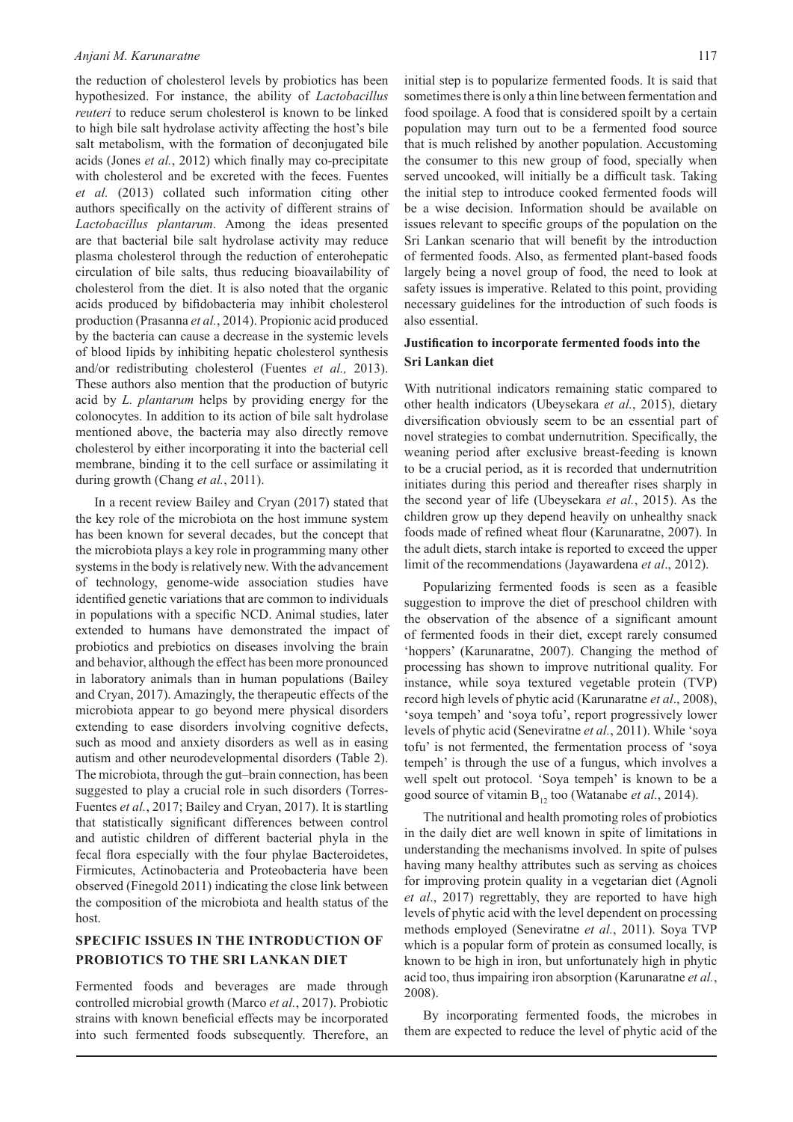the reduction of cholesterol levels by probiotics has been hypothesized. For instance, the ability of *Lactobacillus reuteri* to reduce serum cholesterol is known to be linked to high bile salt hydrolase activity affecting the host's bile salt metabolism, with the formation of deconjugated bile acids (Jones *et al.*, 2012) which finally may co-precipitate with cholesterol and be excreted with the feces. Fuentes *et al.* (2013) collated such information citing other authors specifically on the activity of different strains of *Lactobacillus plantarum*. Among the ideas presented are that bacterial bile salt hydrolase activity may reduce plasma cholesterol through the reduction of enterohepatic circulation of bile salts, thus reducing bioavailability of cholesterol from the diet. It is also noted that the organic acids produced by bifidobacteria may inhibit cholesterol production (Prasanna *et al.*, 2014). Propionic acid produced by the bacteria can cause a decrease in the systemic levels of blood lipids by inhibiting hepatic cholesterol synthesis and/or redistributing cholesterol (Fuentes *et al.,* 2013). These authors also mention that the production of butyric acid by *L. plantarum* helps by providing energy for the colonocytes. In addition to its action of bile salt hydrolase mentioned above, the bacteria may also directly remove cholesterol by either incorporating it into the bacterial cell membrane, binding it to the cell surface or assimilating it during growth (Chang *et al.*, 2011).

In a recent review Bailey and Cryan (2017) stated that the key role of the microbiota on the host immune system has been known for several decades, but the concept that the microbiota plays a key role in programming many other systems in the body is relatively new. With the advancement of technology, genome-wide association studies have identified genetic variations that are common to individuals in populations with a specific NCD. Animal studies, later extended to humans have demonstrated the impact of probiotics and prebiotics on diseases involving the brain and behavior, although the effect has been more pronounced in laboratory animals than in human populations (Bailey and Cryan, 2017). Amazingly, the therapeutic effects of the microbiota appear to go beyond mere physical disorders extending to ease disorders involving cognitive defects, such as mood and anxiety disorders as well as in easing autism and other neurodevelopmental disorders (Table 2). The microbiota, through the gut–brain connection, has been suggested to play a crucial role in such disorders (Torres-Fuentes *et al.*, 2017; Bailey and Cryan, 2017). It is startling that statistically significant differences between control and autistic children of different bacterial phyla in the fecal flora especially with the four phylae Bacteroidetes, Firmicutes, Actinobacteria and Proteobacteria have been observed (Finegold 2011) indicating the close link between the composition of the microbiota and health status of the host.

# **SPECIFIC ISSUES IN THE INTRODUCTION OF PROBIOTICS TO THE SRI LANKAN DIET**

Fermented foods and beverages are made through controlled microbial growth (Marco *et al.*, 2017). Probiotic strains with known beneficial effects may be incorporated into such fermented foods subsequently. Therefore, an initial step is to popularize fermented foods. It is said that sometimes there is only a thin line between fermentation and food spoilage. A food that is considered spoilt by a certain population may turn out to be a fermented food source that is much relished by another population. Accustoming the consumer to this new group of food, specially when served uncooked, will initially be a difficult task. Taking the initial step to introduce cooked fermented foods will be a wise decision. Information should be available on issues relevant to specific groups of the population on the Sri Lankan scenario that will benefit by the introduction of fermented foods. Also, as fermented plant-based foods largely being a novel group of food, the need to look at safety issues is imperative. Related to this point, providing necessary guidelines for the introduction of such foods is also essential.

# **Justification to incorporate fermented foods into the Sri Lankan diet**

With nutritional indicators remaining static compared to other health indicators (Ubeysekara *et al.*, 2015), dietary diversification obviously seem to be an essential part of novel strategies to combat undernutrition. Specifically, the weaning period after exclusive breast-feeding is known to be a crucial period, as it is recorded that undernutrition initiates during this period and thereafter rises sharply in the second year of life (Ubeysekara *et al.*, 2015). As the children grow up they depend heavily on unhealthy snack foods made of refined wheat flour (Karunaratne, 2007). In the adult diets, starch intake is reported to exceed the upper limit of the recommendations (Jayawardena *et al*., 2012).

Popularizing fermented foods is seen as a feasible suggestion to improve the diet of preschool children with the observation of the absence of a significant amount of fermented foods in their diet, except rarely consumed 'hoppers' (Karunaratne, 2007). Changing the method of processing has shown to improve nutritional quality. For instance, while soya textured vegetable protein (TVP) record high levels of phytic acid (Karunaratne *et al*., 2008), 'soya tempeh' and 'soya tofu', report progressively lower levels of phytic acid (Seneviratne *et al.*, 2011). While 'soya tofu' is not fermented, the fermentation process of 'soya tempeh' is through the use of a fungus, which involves a well spelt out protocol. 'Soya tempeh' is known to be a good source of vitamin B<sub>12</sub> too (Watanabe *et al.*, 2014).

The nutritional and health promoting roles of probiotics in the daily diet are well known in spite of limitations in understanding the mechanisms involved. In spite of pulses having many healthy attributes such as serving as choices for improving protein quality in a vegetarian diet (Agnoli *et al*., 2017) regrettably, they are reported to have high levels of phytic acid with the level dependent on processing methods employed (Seneviratne *et al.*, 2011). Soya TVP which is a popular form of protein as consumed locally, is known to be high in iron, but unfortunately high in phytic acid too, thus impairing iron absorption (Karunaratne *et al.*, 2008).

By incorporating fermented foods, the microbes in them are expected to reduce the level of phytic acid of the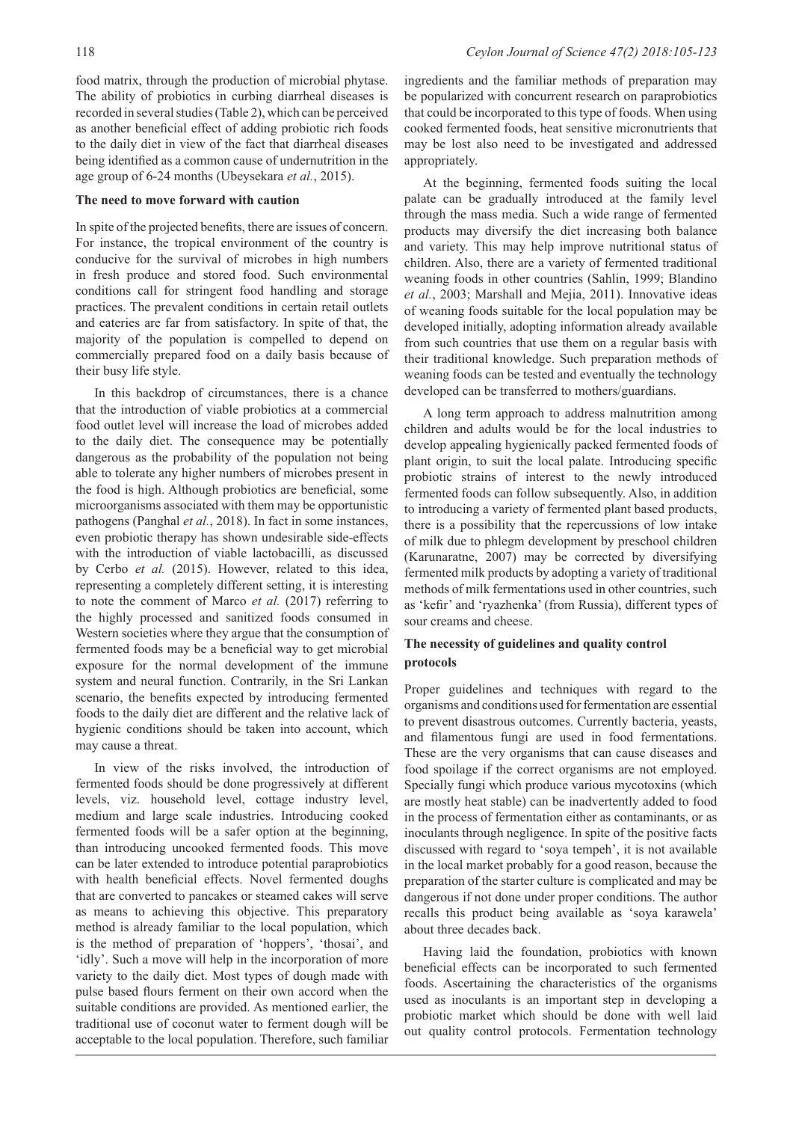food matrix, through the production of microbial phytase. The ability of probiotics in curbing diarrheal diseases is recorded in several studies (Table 2), which can be perceived as another beneficial effect of adding probiotic rich foods to the daily diet in view of the fact that diarrheal diseases being identified as a common cause of undernutrition in the age group of 6-24 months (Ubeysekara *et al.*, 2015).

#### **The need to move forward with caution**

In spite of the projected benefits, there are issues of concern. For instance, the tropical environment of the country is conducive for the survival of microbes in high numbers in fresh produce and stored food. Such environmental conditions call for stringent food handling and storage practices. The prevalent conditions in certain retail outlets and eateries are far from satisfactory. In spite of that, the majority of the population is compelled to depend on commercially prepared food on a daily basis because of their busy life style.

In this backdrop of circumstances, there is a chance that the introduction of viable probiotics at a commercial food outlet level will increase the load of microbes added to the daily diet. The consequence may be potentially dangerous as the probability of the population not being able to tolerate any higher numbers of microbes present in the food is high. Although probiotics are beneficial, some microorganisms associated with them may be opportunistic pathogens (Panghal *et al.*, 2018). In fact in some instances, even probiotic therapy has shown undesirable side-effects with the introduction of viable lactobacilli, as discussed by Cerbo *et al.* (2015). However, related to this idea, representing a completely different setting, it is interesting to note the comment of Marco *et al.* (2017) referring to the highly processed and sanitized foods consumed in Western societies where they argue that the consumption of fermented foods may be a beneficial way to get microbial exposure for the normal development of the immune system and neural function. Contrarily, in the Sri Lankan scenario, the benefits expected by introducing fermented foods to the daily diet are different and the relative lack of hygienic conditions should be taken into account, which may cause a threat.

In view of the risks involved, the introduction of fermented foods should be done progressively at different levels, viz. household level, cottage industry level, medium and large scale industries. Introducing cooked fermented foods will be a safer option at the beginning, than introducing uncooked fermented foods. This move can be later extended to introduce potential paraprobiotics with health beneficial effects. Novel fermented doughs that are converted to pancakes or steamed cakes will serve as means to achieving this objective. This preparatory method is already familiar to the local population, which is the method of preparation of 'hoppers', 'thosai', and 'idly'. Such a move will help in the incorporation of more variety to the daily diet. Most types of dough made with pulse based flours ferment on their own accord when the suitable conditions are provided. As mentioned earlier, the traditional use of coconut water to ferment dough will be acceptable to the local population. Therefore, such familiar

ingredients and the familiar methods of preparation may be popularized with concurrent research on paraprobiotics that could be incorporated to this type of foods. When using cooked fermented foods, heat sensitive micronutrients that may be lost also need to be investigated and addressed appropriately.

At the beginning, fermented foods suiting the local palate can be gradually introduced at the family level through the mass media. Such a wide range of fermented products may diversify the diet increasing both balance and variety. This may help improve nutritional status of children. Also, there are a variety of fermented traditional weaning foods in other countries (Sahlin, 1999; Blandino *et al.*, 2003; Marshall and Mejia, 2011). Innovative ideas of weaning foods suitable for the local population may be developed initially, adopting information already available from such countries that use them on a regular basis with their traditional knowledge. Such preparation methods of weaning foods can be tested and eventually the technology developed can be transferred to mothers/guardians.

A long term approach to address malnutrition among children and adults would be for the local industries to develop appealing hygienically packed fermented foods of plant origin, to suit the local palate. Introducing specific probiotic strains of interest to the newly introduced fermented foods can follow subsequently. Also, in addition to introducing a variety of fermented plant based products, there is a possibility that the repercussions of low intake of milk due to phlegm development by preschool children (Karunaratne, 2007) may be corrected by diversifying fermented milk products by adopting a variety of traditional methods of milk fermentations used in other countries, such as 'kefir' and 'ryazhenka' (from Russia), different types of sour creams and cheese.

# **The necessity of guidelines and quality control protocols**

Proper guidelines and techniques with regard to the organisms and conditions used for fermentation are essential to prevent disastrous outcomes. Currently bacteria, yeasts, and filamentous fungi are used in food fermentations. These are the very organisms that can cause diseases and food spoilage if the correct organisms are not employed. Specially fungi which produce various mycotoxins (which are mostly heat stable) can be inadvertently added to food in the process of fermentation either as contaminants, or as inoculants through negligence. In spite of the positive facts discussed with regard to 'soya tempeh', it is not available in the local market probably for a good reason, because the preparation of the starter culture is complicated and may be dangerous if not done under proper conditions. The author recalls this product being available as 'soya karawela' about three decades back.

Having laid the foundation, probiotics with known beneficial effects can be incorporated to such fermented foods. Ascertaining the characteristics of the organisms used as inoculants is an important step in developing a probiotic market which should be done with well laid out quality control protocols. Fermentation technology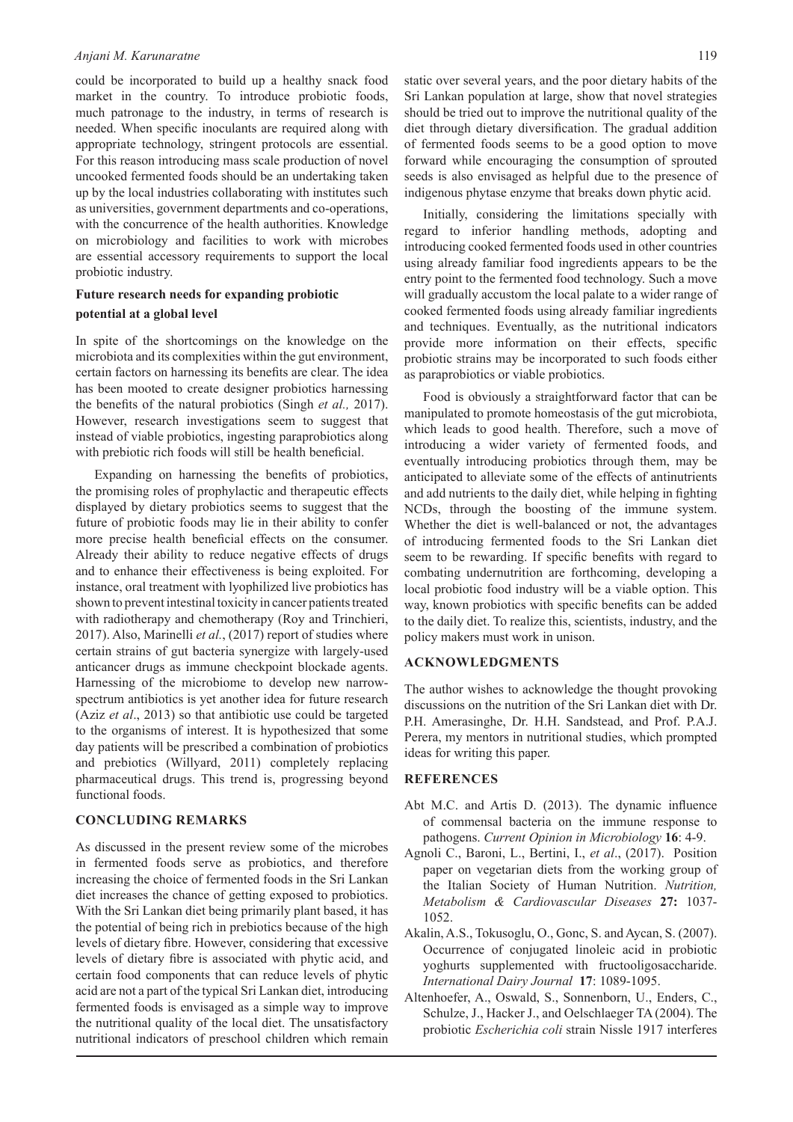could be incorporated to build up a healthy snack food market in the country. To introduce probiotic foods, much patronage to the industry, in terms of research is needed. When specific inoculants are required along with appropriate technology, stringent protocols are essential. For this reason introducing mass scale production of novel uncooked fermented foods should be an undertaking taken up by the local industries collaborating with institutes such as universities, government departments and co-operations, with the concurrence of the health authorities. Knowledge on microbiology and facilities to work with microbes are essential accessory requirements to support the local probiotic industry.

## **Future research needs for expanding probiotic potential at a global level**

In spite of the shortcomings on the knowledge on the microbiota and its complexities within the gut environment, certain factors on harnessing its benefits are clear. The idea has been mooted to create designer probiotics harnessing the benefits of the natural probiotics (Singh *et al.,* 2017). However, research investigations seem to suggest that instead of viable probiotics, ingesting paraprobiotics along with prebiotic rich foods will still be health beneficial.

Expanding on harnessing the benefits of probiotics, the promising roles of prophylactic and therapeutic effects displayed by dietary probiotics seems to suggest that the future of probiotic foods may lie in their ability to confer more precise health beneficial effects on the consumer. Already their ability to reduce negative effects of drugs and to enhance their effectiveness is being exploited. For instance, oral treatment with lyophilized live probiotics has shown to prevent intestinal toxicity in cancer patients treated with radiotherapy and chemotherapy (Roy and Trinchieri, 2017). Also, Marinelli *et al.*, (2017) report of studies where certain strains of gut bacteria synergize with largely-used anticancer drugs as immune checkpoint blockade agents. Harnessing of the microbiome to develop new narrowspectrum antibiotics is yet another idea for future research (Aziz *et al*., 2013) so that antibiotic use could be targeted to the organisms of interest. It is hypothesized that some day patients will be prescribed a combination of probiotics and prebiotics (Willyard, 2011) completely replacing pharmaceutical drugs. This trend is, progressing beyond functional foods.

#### **CONCLUDING REMARKS**

As discussed in the present review some of the microbes in fermented foods serve as probiotics, and therefore increasing the choice of fermented foods in the Sri Lankan diet increases the chance of getting exposed to probiotics. With the Sri Lankan diet being primarily plant based, it has the potential of being rich in prebiotics because of the high levels of dietary fibre. However, considering that excessive levels of dietary fibre is associated with phytic acid, and certain food components that can reduce levels of phytic acid are not a part of the typical Sri Lankan diet, introducing fermented foods is envisaged as a simple way to improve the nutritional quality of the local diet. The unsatisfactory nutritional indicators of preschool children which remain

static over several years, and the poor dietary habits of the Sri Lankan population at large, show that novel strategies should be tried out to improve the nutritional quality of the diet through dietary diversification. The gradual addition of fermented foods seems to be a good option to move forward while encouraging the consumption of sprouted seeds is also envisaged as helpful due to the presence of indigenous phytase enzyme that breaks down phytic acid.

Initially, considering the limitations specially with regard to inferior handling methods, adopting and introducing cooked fermented foods used in other countries using already familiar food ingredients appears to be the entry point to the fermented food technology. Such a move will gradually accustom the local palate to a wider range of cooked fermented foods using already familiar ingredients and techniques. Eventually, as the nutritional indicators provide more information on their effects, specific probiotic strains may be incorporated to such foods either as paraprobiotics or viable probiotics.

Food is obviously a straightforward factor that can be manipulated to promote homeostasis of the gut microbiota, which leads to good health. Therefore, such a move of introducing a wider variety of fermented foods, and eventually introducing probiotics through them, may be anticipated to alleviate some of the effects of antinutrients and add nutrients to the daily diet, while helping in fighting NCDs, through the boosting of the immune system. Whether the diet is well-balanced or not, the advantages of introducing fermented foods to the Sri Lankan diet seem to be rewarding. If specific benefits with regard to combating undernutrition are forthcoming, developing a local probiotic food industry will be a viable option. This way, known probiotics with specific benefits can be added to the daily diet. To realize this, scientists, industry, and the policy makers must work in unison.

### **ACKNOWLEDGMENTS**

The author wishes to acknowledge the thought provoking discussions on the nutrition of the Sri Lankan diet with Dr. P.H. Amerasinghe, Dr. H.H. Sandstead, and Prof. P.A.J. Perera, my mentors in nutritional studies, which prompted ideas for writing this paper.

#### **REFERENCES**

- Abt M.C. and Artis D. (2013). The dynamic influence of commensal bacteria on the immune response to pathogens. *Current Opinion in Microbiology* **16**: 4-9.
- Agnoli C., Baroni, L., Bertini, I., *et al*., (2017). Position paper on vegetarian diets from the working group of the Italian Society of Human Nutrition. *Nutrition, Metabolism & Cardiovascular Diseases* **27:** 1037- 1052.
- Akalin, A.S., Tokusoglu, O., Gonc, S. and Aycan, S. (2007). Occurrence of conjugated linoleic acid in probiotic yoghurts supplemented with fructooligosaccharide. *International Dairy Journal* **17**: 1089-1095.
- Altenhoefer, A., Oswald, S., Sonnenborn, U., Enders, C., Schulze, J., Hacker J., and Oelschlaeger TA (2004). The probiotic *Escherichia coli* strain Nissle 1917 interferes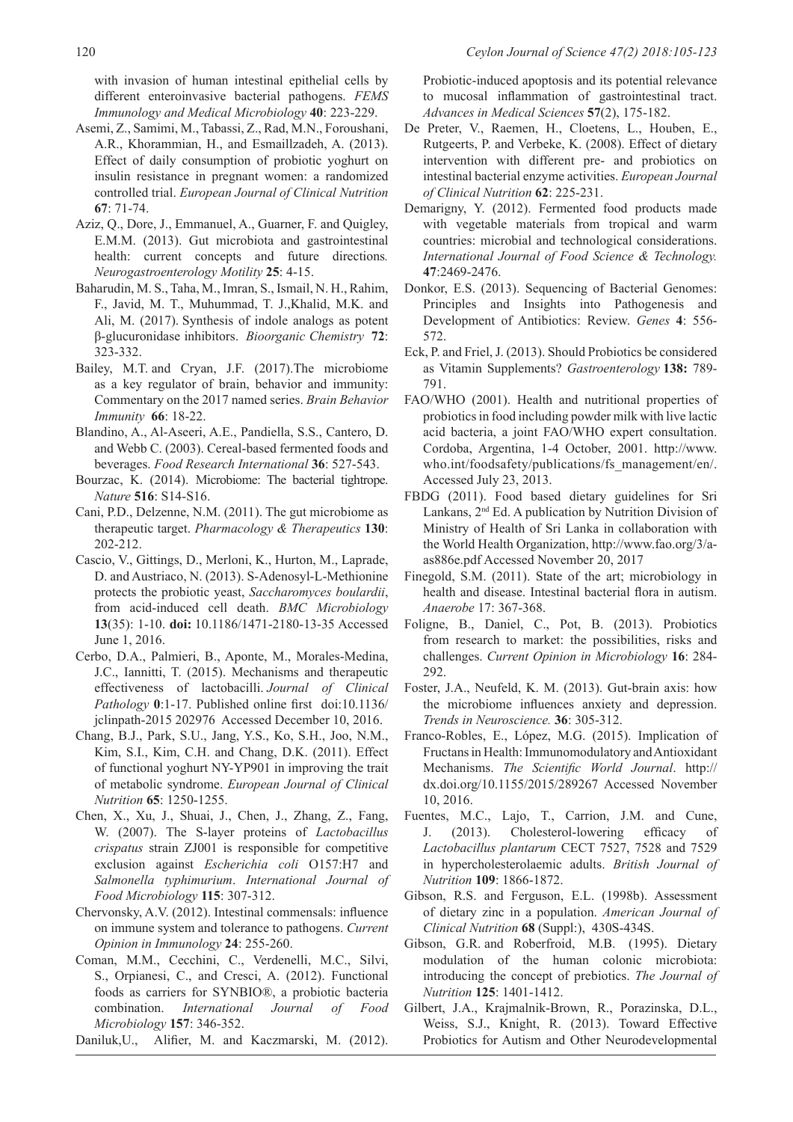with invasion of human intestinal epithelial cells by different enteroinvasive bacterial pathogens. *FEMS Immunology and Medical Microbiology* **40**: 223-229.

- Asemi, Z., Samimi, M., Tabassi, Z., Rad, M.N., Foroushani, A.R., Khorammian, H., and Esmaillzadeh, A. (2013). Effect of daily consumption of probiotic yoghurt on insulin resistance in pregnant women: a randomized controlled trial. *European Journal of Clinical Nutrition* **67**: 71-74.
- Aziz, Q., Dore, J., Emmanuel, A., Guarner, F. and Quigley, E.M.M. (2013). Gut microbiota and gastrointestinal health: current concepts and future directions. *Neurogastroenterology Motility* **25**: 4-15.
- Baharudin, M. S., Taha, M., Imran, S., Ismail, N. H., Rahim, F., Javid, M. T., Muhummad, T. J.,Khalid, M.K. and Ali, M. (2017). Synthesis of indole analogs as potent β-glucuronidase inhibitors. *Bioorganic Chemistry* **72**: 323-332.
- Bailey, M.T. and Cryan, J.F. (2017).The microbiome as a key regulator of brain, behavior and immunity: Commentary on the 2017 named series. *Brain Behavior Immunity* **66**: 18-22.
- Blandino, A., Al-Aseeri, A.E., Pandiella, S.S., Cantero, D. and Webb C. (2003). Cereal-based fermented foods and beverages. *Food Research International* **36**: 527-543.
- Bourzac, K. (2014). Microbiome: The bacterial tightrope. *Nature* **516**: S14-S16.
- Cani, P.D., Delzenne, N.M. (2011). The gut microbiome as therapeutic target. *Pharmacology & Therapeutics* **130**: 202-212.
- Cascio, V., Gittings, D., Merloni, K., Hurton, M., Laprade, D. and Austriaco, N. (2013). S-Adenosyl-L-Methionine protects the probiotic yeast, *Saccharomyces boulardii*, from acid-induced cell death. *BMC Microbiology* **13**(35): 1-10. **doi:** 10.1186/1471-2180-13-35 Accessed June 1, 2016.
- Cerbo, D.A., Palmieri, B., Aponte, M., Morales-Medina, J.C., Iannitti, T. (2015). Mechanisms and therapeutic effectiveness of lactobacilli. *Journal of Clinical Pathology* **0**:1-17. Published online first doi:10.1136/ jclinpath-2015 202976 Accessed December 10, 2016.
- Chang, B.J., Park, S.U., Jang, Y.S., Ko, S.H., Joo, N.M., Kim, S.I., Kim, C.H. and Chang, D.K. (2011). Effect of functional yoghurt NY-YP901 in improving the trait of metabolic syndrome. *European Journal of Clinical Nutrition* **65**: 1250-1255.
- Chen, X., Xu, J., Shuai, J., Chen, J., Zhang, Z., Fang, W. (2007). The S-layer proteins of *Lactobacillus crispatus* strain ZJ001 is responsible for competitive exclusion against *Escherichia coli* O157:H7 and *Salmonella typhimurium*. *International Journal of Food Microbiology* **115**: 307-312.
- Chervonsky, A.V. (2012). Intestinal commensals: influence on immune system and tolerance to pathogens. *Current Opinion in Immunology* **24**: 255-260.
- Coman, M.M., Cecchini, C., Verdenelli, M.C., Silvi, S., Orpianesi, C., and Cresci, A. (2012). Functional foods as carriers for SYNBIO®, a probiotic bacteria combination. *International Journal of Food Microbiology* **157**: 346-352.
- Daniluk,U., Alifier, M. and Kaczmarski, M. (2012).

Probiotic-induced apoptosis and its potential relevance to mucosal inflammation of gastrointestinal tract. *Advances in Medical Sciences* **57**(2), 175-182.

- De Preter, V., Raemen, H., Cloetens, L., Houben, E., Rutgeerts, P. and Verbeke, K. (2008). Effect of dietary intervention with different pre- and probiotics on intestinal bacterial enzyme activities. *European Journal of Clinical Nutrition* **62**: 225-231.
- Demarigny, Y. (2012). Fermented food products made with vegetable materials from tropical and warm countries: microbial and technological considerations. *International Journal of Food Science & Technology.* **47**:2469-2476.
- Donkor, E.S. (2013). Sequencing of Bacterial Genomes: Principles and Insights into Pathogenesis and Development of Antibiotics: Review. *Genes* **4**: 556- 572.
- Eck, P. and Friel, J. (2013). Should Probiotics be considered as Vitamin Supplements? *Gastroenterology* **138:** 789- 791.
- FAO/WHO (2001). Health and nutritional properties of probiotics in food including powder milk with live lactic acid bacteria, a joint FAO/WHO expert consultation. Cordoba, Argentina, 1-4 October, 2001. http://www. who.int/foodsafety/publications/fs\_management/en/. Accessed July 23, 2013.
- FBDG (2011). Food based dietary guidelines for Sri Lankans, 2nd Ed. A publication by Nutrition Division of Ministry of Health of Sri Lanka in collaboration with the World Health Organization, http://www.fao.org/3/aas886e.pdf Accessed November 20, 2017
- Finegold, S.M. (2011). State of the art; microbiology in health and disease. Intestinal bacterial flora in autism. *Anaerobe* 17: 367-368.
- Foligne, B., Daniel, C., Pot, B. (2013). Probiotics from research to market: the possibilities, risks and challenges. *Current Opinion in Microbiology* **16**: 284- 292.
- Foster, J.A., Neufeld, K. M. (2013). Gut-brain axis: how the microbiome influences anxiety and depression. *Trends in Neuroscience.* **36**: 305-312.
- Franco-Robles, E., López, M.G. (2015). Implication of Fructans in Health: Immunomodulatory and Antioxidant Mechanisms. *The Scientific World Journal*. http:// dx.doi.org/10.1155/2015/289267 Accessed November 10, 2016.
- Fuentes, M.C., Lajo, T., Carrion, J.M. and Cune, J. (2013). Cholesterol-lowering efficacy of *Lactobacillus plantarum* CECT 7527, 7528 and 7529 in hypercholesterolaemic adults. *British Journal of Nutrition* **109**: 1866-1872.
- Gibson, R.S. and Ferguson, E.L. (1998b). Assessment of dietary zinc in a population. *American Journal of Clinical Nutrition* **68** (Suppl:), 430S-434S.
- Gibson, G.R. and Roberfroid, M.B. (1995). Dietary modulation of the human colonic microbiota: introducing the concept of prebiotics. *The Journal of Nutrition* **125**: 1401-1412.
- Gilbert, J.A., Krajmalnik-Brown, R., Porazinska, D.L., Weiss, S.J., Knight, R. (2013). Toward Effective Probiotics for Autism and Other Neurodevelopmental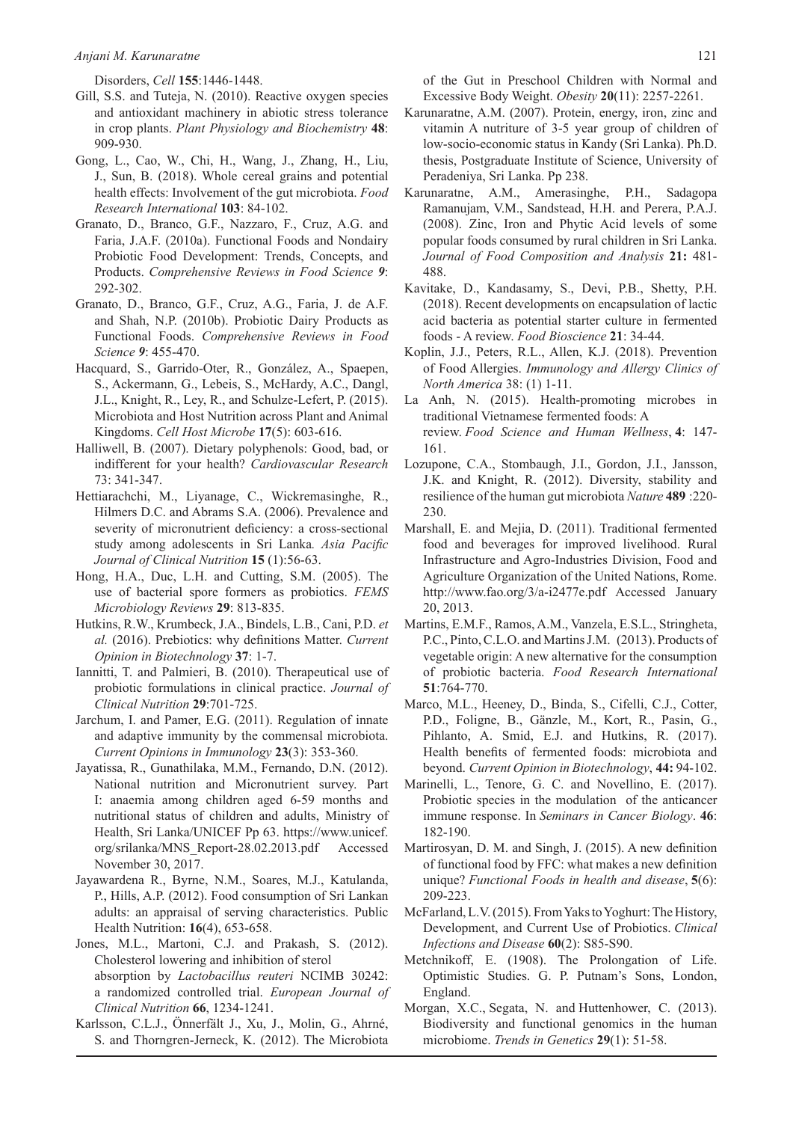Disorders, *Cell* **155**:1446-1448.

- Gill, S.S. and Tuteja, N. (2010). Reactive oxygen species and antioxidant machinery in abiotic stress tolerance in crop plants. *Plant Physiology and Biochemistry* **48**: 909-930.
- Gong, L., Cao, W., Chi, H., Wang, J., Zhang, H., Liu, J., Sun, B. (2018). Whole cereal grains and potential health effects: Involvement of the gut microbiota. *Food Research International* **103**: 84-102.
- Granato, D., Branco, G.F., Nazzaro, F., Cruz, A.G. and Faria, J.A.F. (2010a). Functional Foods and Nondairy Probiotic Food Development: Trends, Concepts, and Products. *Comprehensive Reviews in Food Science 9*: 292-302.
- Granato, D., Branco, G.F., Cruz, A.G., Faria, J. de A.F. and Shah, N.P. (2010b). Probiotic Dairy Products as Functional Foods. *Comprehensive Reviews in Food Science 9*: 455-470.
- Hacquard, S., Garrido-Oter, R., González, A., Spaepen, S., Ackermann, G., Lebeis, S., McHardy, A.C., Dangl, J.L., Knight, R., Ley, R., and Schulze-Lefert, P. (2015). Microbiota and Host Nutrition across Plant and Animal Kingdoms. *Cell Host Microbe* **17**(5): 603-616.
- Halliwell, B. (2007). Dietary polyphenols: Good, bad, or indifferent for your health? *Cardiovascular Research* 73: 341-347.
- Hettiarachchi, M., Liyanage, C., Wickremasinghe, R., Hilmers D.C. and Abrams S.A. (2006). Prevalence and severity of micronutrient deficiency: a cross-sectional study among adolescents in Sri Lanka*. Asia Pacific Journal of Clinical Nutrition* **15** (1):56-63.
- Hong, H.A., Duc, L.H. and Cutting, S.M. (2005). The use of bacterial spore formers as probiotics. *FEMS Microbiology Reviews* **29**: 813-835.
- Hutkins, R.W., Krumbeck, J.A., Bindels, L.B., Cani, P.D. *et al.* (2016). Prebiotics: why definitions Matter. *Current Opinion in Biotechnology* **37**: 1-7.
- Iannitti, T. and Palmieri, B. (2010). Therapeutical use of probiotic formulations in clinical practice. *Journal of Clinical Nutrition* **29**:701-725.
- Jarchum, I. and Pamer, E.G. (2011). Regulation of innate and adaptive immunity by the commensal microbiota. *Current Opinions in Immunology* **23**(3): 353-360.
- Jayatissa, R., Gunathilaka, M.M., Fernando, D.N. (2012). National nutrition and Micronutrient survey. Part I: anaemia among children aged 6-59 months and nutritional status of children and adults, Ministry of Health, Sri Lanka/UNICEF Pp 63. https://www.unicef. org/srilanka/MNS\_Report-28.02.2013.pdf Accessed November 30, 2017.
- Jayawardena R., Byrne, N.M., Soares, M.J., Katulanda, P., Hills, A.P. (2012). Food consumption of Sri Lankan adults: an appraisal of serving characteristics. Public Health Nutrition: **16**(4), 653-658.
- Jones, M.L., Martoni, C.J. and Prakash, S. (2012). Cholesterol lowering and inhibition of sterol absorption by *Lactobacillus reuteri* NCIMB 30242: a randomized controlled trial. *European Journal of Clinical Nutrition* **66**, 1234-1241.
- Karlsson, C.L.J., Önnerfält J., Xu, J., Molin, G., Ahrné, S. and Thorngren-Jerneck, K. (2012). The Microbiota

of the Gut in Preschool Children with Normal and Excessive Body Weight. *Obesity* **20**(11): 2257-2261.

- Karunaratne, A.M. (2007). Protein, energy, iron, zinc and vitamin A nutriture of 3‑5 year group of children of low‑socio‑economic status in Kandy (Sri Lanka). Ph.D. thesis, Postgraduate Institute of Science, University of Peradeniya, Sri Lanka. Pp 238.
- Karunaratne, A.M., Amerasinghe, P.H., Sadagopa Ramanujam, V.M., Sandstead, H.H. and Perera, P.A.J. (2008). Zinc, Iron and Phytic Acid levels of some popular foods consumed by rural children in Sri Lanka. *Journal of Food Composition and Analysis* **21:** 481- 488.
- Kavitake, D., Kandasamy, S., Devi, P.B., Shetty, P.H. (2018). Recent developments on encapsulation of lactic acid bacteria as potential starter culture in fermented foods - A review. *Food Bioscience* **21**: 34-44.
- Koplin, J.J., Peters, R.L., Allen, K.J. (2018). Prevention of Food Allergies. *Immunology and Allergy Clinics of North America* 38: (1) 1-11.
- La Anh, N. (2015). Health-promoting microbes in traditional Vietnamese fermented foods: A review. *Food Science and Human Wellness*, **4**: 147- 161.
- Lozupone, C.A., Stombaugh, J.I., Gordon, J.I., Jansson, J.K. and Knight, R. (2012). Diversity, stability and resilience of the human gut microbiota *Nature* **489** :220- 230.
- Marshall, E. and Mejia, D. (2011). Traditional fermented food and beverages for improved livelihood. Rural Infrastructure and Agro-Industries Division, Food and Agriculture Organization of the United Nations, Rome. http://www.fao.org/3/a-i2477e.pdf Accessed January 20, 2013.
- Martins, E.M.F., Ramos, A.M., Vanzela, E.S.L., Stringheta, P.C., Pinto, C.L.O. and Martins J.M. (2013). Products of vegetable origin: A new alternative for the consumption of probiotic bacteria. *Food Research International* **51**:764-770.
- Marco, M.L., Heeney, D., Binda, S., Cifelli, C.J., Cotter, P.D., Foligne, B., Gänzle, M., Kort, R., Pasin, G., Pihlanto, A. Smid, E.J. and Hutkins, R. (2017). Health benefits of fermented foods: microbiota and beyond. *Current Opinion in Biotechnology*, **44:** 94-102.
- Marinelli, L., Tenore, G. C. and Novellino, E. (2017). Probiotic species in the modulation of the anticancer immune response. In *Seminars in Cancer Biology*. **46**: 182-190.
- Martirosyan, D. M. and Singh, J. (2015). A new definition of functional food by FFC: what makes a new definition unique? *Functional Foods in health and disease*, **5**(6): 209-223.
- McFarland, L.V. (2015). From Yaks to Yoghurt: The History, Development, and Current Use of Probiotics. *Clinical Infections and Disease* **60**(2): S85-S90.
- Metchnikoff, E. (1908). The Prolongation of Life. Optimistic Studies. G. P. Putnam's Sons, London, England.
- Morgan, X.C., Segata, N. and Huttenhower, C. (2013). Biodiversity and functional genomics in the human microbiome. *Trends in Genetics* **29**(1): 51-58.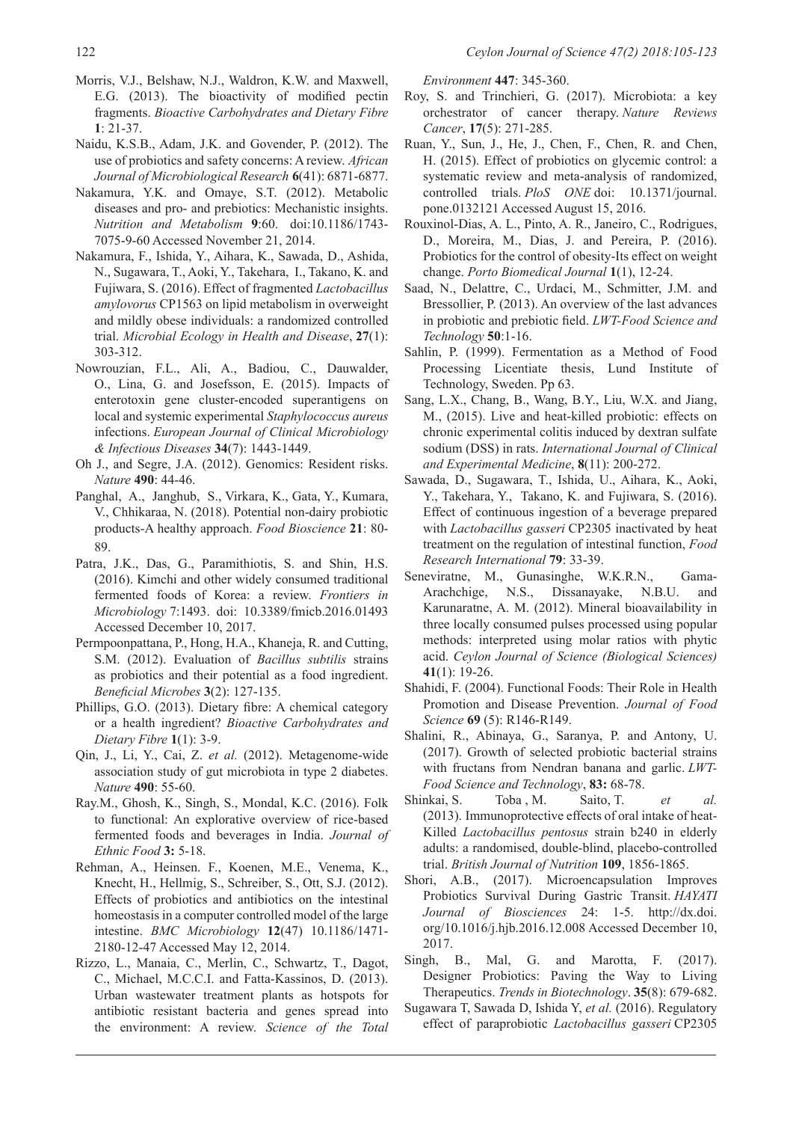- Morris, V.J., Belshaw, N.J., Waldron, K.W. and Maxwell, E.G. (2013). The bioactivity of modified pectin fragments. *Bioactive Carbohydrates and Dietary Fibre* **1**: 21-37.
- Naidu, K.S.B., Adam, J.K. and Govender, P. (2012). The use of probiotics and safety concerns: A review. *African Journal of Microbiological Research* **6**(41): 6871-6877.
- Nakamura, Y.K. and Omaye, S.T. (2012). Metabolic diseases and pro- and prebiotics: Mechanistic insights. *Nutrition and Metabolism* **9**:60. doi:10.1186/1743- 7075-9-60 Accessed November 21, 2014.
- Nakamura, F., Ishida, Y., Aihara, K., Sawada, D., Ashida, N., Sugawara, T., Aoki, Y., Takehara, I., Takano, K. and Fujiwara, S. (2016). Effect of fragmented *Lactobacillus amylovorus* CP1563 on lipid metabolism in overweight and mildly obese individuals: a randomized controlled trial. *Microbial Ecology in Health and Disease*, **27**(1): 303-312.
- Nowrouzian, F.L., Ali, A., Badiou, C., Dauwalder, O., Lina, G. and Josefsson, E. (2015). Impacts of enterotoxin gene cluster-encoded superantigens on local and systemic experimental *Staphylococcus aureus*  infections. *European Journal of Clinical Microbiology & Infectious Diseases* **34**(7): 1443-1449.
- Oh J., and Segre, J.A. (2012). Genomics: Resident risks. *Nature* **490**: 44-46.
- Panghal, A., Janghub, S., Virkara, K., Gata, Y., Kumara, V., Chhikaraa, N. (2018). Potential non-dairy probiotic products-A healthy approach. *Food Bioscience* **21**: 80- 89.
- Patra, J.K., Das, G., Paramithiotis, S. and Shin, H.S. (2016). Kimchi and other widely consumed traditional fermented foods of Korea: a review. *Frontiers in Microbiology* 7:1493. doi: 10.3389/fmicb.2016.01493 Accessed December 10, 2017.
- Permpoonpattana, P., Hong, H.A., Khaneja, R. and Cutting, S.M. (2012). Evaluation of *Bacillus subtilis* strains as probiotics and their potential as a food ingredient. *Beneficial Microbes* **3**(2): 127-135.
- Phillips, G.O. (2013). Dietary fibre: A chemical category or a health ingredient? *Bioactive Carbohydrates and Dietary Fibre* **1**(1): 3-9.
- Qin, J., Li, Y., Cai, Z. *et al.* (2012). Metagenome-wide association study of gut microbiota in type 2 diabetes. *Nature* **490**: 55-60.
- Ray.M., Ghosh, K., Singh, S., Mondal, K.C. (2016). Folk to functional: An explorative overview of rice-based fermented foods and beverages in India. *Journal of Ethnic Food* **3:** 5-18.
- Rehman, A., Heinsen. F., Koenen, M.E., Venema, K., Knecht, H., Hellmig, S., Schreiber, S., Ott, S.J. (2012). Effects of probiotics and antibiotics on the intestinal homeostasis in a computer controlled model of the large intestine. *BMC Microbiology* **12**(47) 10.1186/1471- 2180-12-47 Accessed May 12, 2014.
- Rizzo, L., Manaia, C., Merlin, C., Schwartz, T., Dagot, C., Michael, M.C.C.I. and Fatta-Kassinos, D. (2013). Urban wastewater treatment plants as hotspots for antibiotic resistant bacteria and genes spread into the environment: A review. *Science of the Total*

*Environment* **447**: 345-360.

- Roy, S. and Trinchieri, G. (2017). Microbiota: a key orchestrator of cancer therapy. *Nature Reviews Cancer*, **17**(5): 271-285.
- Ruan, Y., Sun, J., He, J., Chen, F., Chen, R. and Chen, H. (2015). Effect of probiotics on glycemic control: a systematic review and meta-analysis of randomized, controlled trials. *PloS ONE* doi: 10.1371/journal. pone.0132121 Accessed August 15, 2016.
- Rouxinol-Dias, A. L., Pinto, A. R., Janeiro, C., Rodrigues, D., Moreira, M., Dias, J. and Pereira, P. (2016). Probiotics for the control of obesity-Its effect on weight change. *Porto Biomedical Journal* **1**(1), 12-24.
- Saad, N., Delattre, C., Urdaci, M., Schmitter, J.M. and Bressollier, P. (2013). An overview of the last advances in probiotic and prebiotic field. *LWT-Food Science and Technology* **50**:1-16.
- Sahlin, P. (1999). Fermentation as a Method of Food Processing Licentiate thesis, Lund Institute of Technology, Sweden. Pp 63.
- Sang, L.X., Chang, B., Wang, B.Y., Liu, W.X. and Jiang, M., (2015). Live and heat-killed probiotic: effects on chronic experimental colitis induced by dextran sulfate sodium (DSS) in rats. *International Journal of Clinical and Experimental Medicine*, **8**(11): 200-272.
- Sawada, D., Sugawara, T., Ishida, U., Aihara, K., Aoki, Y., Takehara, Y., Takano, K. and Fujiwara, S. (2016). Effect of continuous ingestion of a beverage prepared with *Lactobacillus gasseri* CP2305 inactivated by heat treatment on the regulation of intestinal function, *Food Research International* **79**: 33-39.
- Seneviratne, M., Gunasinghe, W.K.R.N., Gama-Arachchige, N.S., Dissanayake, N.B.U. and Karunaratne, A. M. (2012). Mineral bioavailability in three locally consumed pulses processed using popular methods: interpreted using molar ratios with phytic acid. *Ceylon Journal of Science (Biological Sciences)* **41**(1): 19-26.
- Shahidi, F. (2004). Functional Foods: Their Role in Health Promotion and Disease Prevention. *Journal of Food Science* **69** (5): R146-R149.
- Shalini, R., Abinaya, G., Saranya, P. and Antony, U. (2017). Growth of selected probiotic bacterial strains with fructans from Nendran banana and garlic. *LWT-Food Science and Technology*, **83:** 68-78.
- Shinkai, S. Toba , M. Saito, T. *et al.* (2013). Immunoprotective effects of oral intake of heat-Killed *Lactobacillus pentosus* strain b240 in elderly adults: a randomised, double-blind, placebo-controlled trial. *British Journal of Nutrition* **109**, 1856-1865.
- Shori, A.B., (2017). Microencapsulation Improves Probiotics Survival During Gastric Transit. *HAYATI Journal of Biosciences* 24: 1-5. http://dx.doi. org/10.1016/j.hjb.2016.12.008 Accessed December 10, 2017.
- Singh, B., Mal, G. and Marotta, F. (2017). Designer Probiotics: Paving the Way to Living Therapeutics. *Trends in Biotechnology*. **35**(8): 679-682.
- Sugawara T, Sawada D, Ishida Y, *et al.* (2016). Regulatory effect of paraprobiotic *Lactobacillus gasseri* CP2305